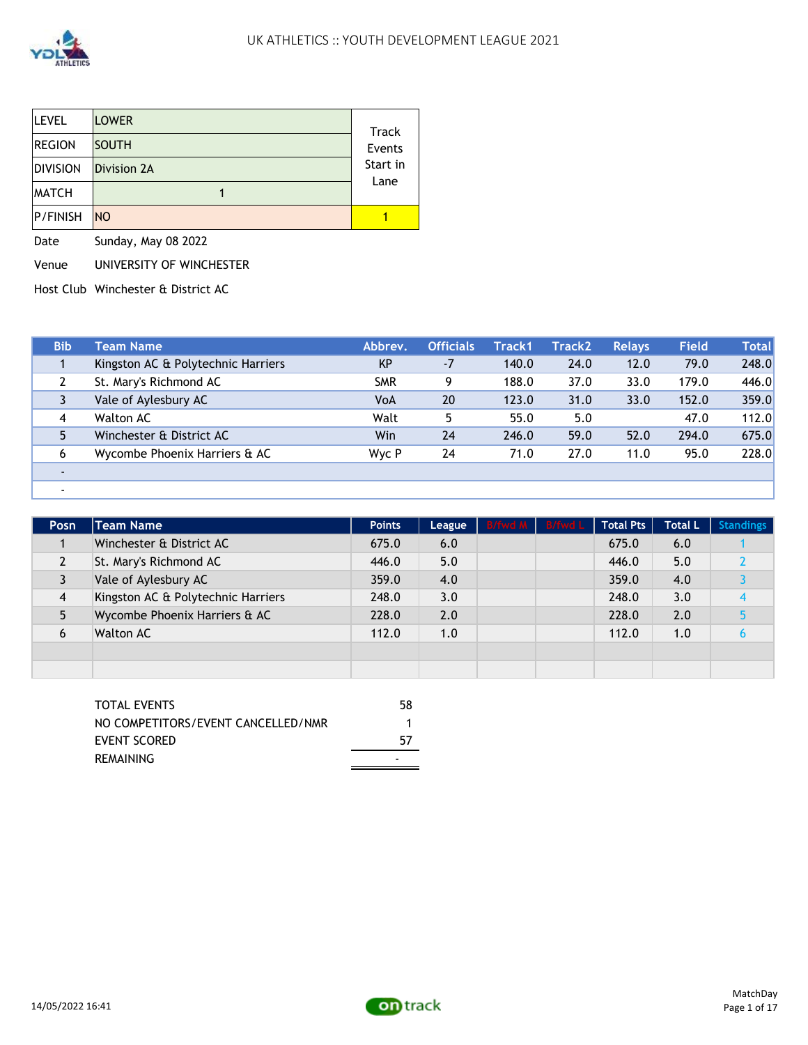

-

| <b>LEVEL</b>    | <b>LOWER</b>       | Track    |
|-----------------|--------------------|----------|
| <b>REGION</b>   | <b>SOUTH</b>       | Events   |
| <b>DIVISION</b> | <b>Division 2A</b> | Start in |
| <b>MATCH</b>    |                    | Lane     |
| P/FINISH        | <b>NO</b>          |          |

Date Sunday, May 08 2022

Venue UNIVERSITY OF WINCHESTER

Host Club Winchester & District AC

| <b>Bib</b> | Team Name                          | Abbrey.    | <b>Officials</b> | Track1 | <b>Track2</b> | <b>Relays</b> | <b>Field</b> | <b>Total</b> |
|------------|------------------------------------|------------|------------------|--------|---------------|---------------|--------------|--------------|
|            | Kingston AC & Polytechnic Harriers | <b>KP</b>  | $-7$             | 140.0  | 24.0          | 12.0          | 79.0         | 248.0        |
|            | St. Mary's Richmond AC             | <b>SMR</b> | 9                | 188.0  | 37.0          | 33.0          | 179.0        | 446.0        |
|            | Vale of Aylesbury AC               | VoA        | 20               | 123.0  | 31.0          | 33.0          | 152.0        | 359.0        |
| 4          | Walton AC                          | Walt       | 5                | 55.0   | 5.0           |               | 47.0         | 112.0        |
|            | Winchester & District AC           | Win        | 24               | 246.0  | 59.0          | 52.0          | 294.0        | 675.0        |
| 6          | Wycombe Phoenix Harriers & AC      | Wyc P      | 24               | 71.0   | 27.0          | 11.0          | 95.0         | 228.0        |
|            |                                    |            |                  |        |               |               |              |              |

| Posn | <b>Team Name</b>                   | <b>Points</b> | League | B/fwd M B/fwd L | <b>Total Pts</b> | <b>Total L</b> | <b>Standings</b> |
|------|------------------------------------|---------------|--------|-----------------|------------------|----------------|------------------|
|      | Winchester & District AC           | 675.0         | 6.0    |                 | 675.0            | 6.0            |                  |
|      | St. Mary's Richmond AC             | 446.0         | 5.0    |                 | 446.0            | 5.0            |                  |
|      | Vale of Aylesbury AC               | 359.0         | 4.0    |                 | 359.0            | 4.0            |                  |
| 4    | Kingston AC & Polytechnic Harriers | 248.0         | 3.0    |                 | 248.0            | 3.0            |                  |
|      | Wycombe Phoenix Harriers & AC      | 228.0         | 2.0    |                 | 228.0            | 2.0            |                  |
| 6    | <b>Walton AC</b>                   | 112.0         | 1.0    |                 | 112.0            | 1.0            |                  |
|      |                                    |               |        |                 |                  |                |                  |
|      |                                    |               |        |                 |                  |                |                  |

| TOTAL EVENTS                       | 58 |
|------------------------------------|----|
| NO COMPETITORS/EVENT CANCELLED/NMR |    |
| EVENT SCORED                       | 57 |
| REMAINING                          |    |

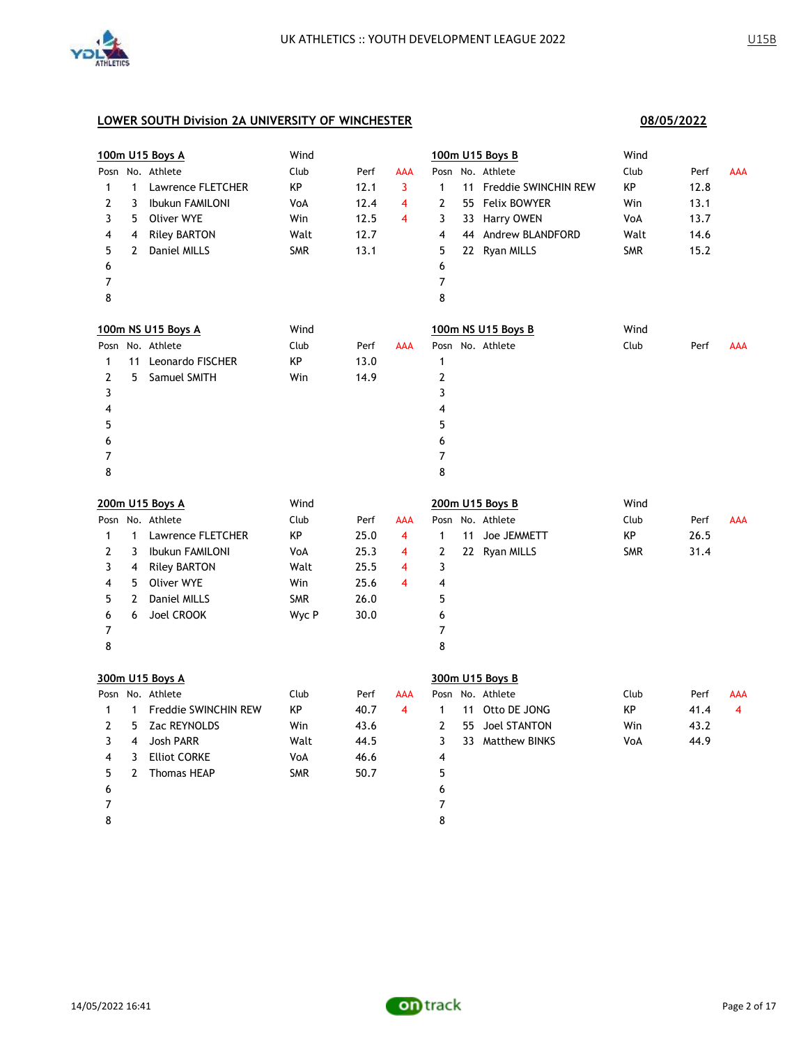

|              |              | 100m U15 Boys A        | Wind       |      |                         |                | 100m U15 Boys B         | Wind       |      |                |
|--------------|--------------|------------------------|------------|------|-------------------------|----------------|-------------------------|------------|------|----------------|
| Posn         |              | No. Athlete            | Club       | Perf | <b>AAA</b>              | Posn           | No. Athlete             | Club       | Perf | <b>AAA</b>     |
| $\mathbf{1}$ | $\mathbf{1}$ | Lawrence FLETCHER      | КP         | 12.1 | 3                       | $\mathbf{1}$   | 11 Freddie SWINCHIN REW | КP         | 12.8 |                |
| 2            | 3            | Ibukun FAMILONI        | VoA        | 12.4 | 4                       | $\overline{2}$ | 55 Felix BOWYER         | Win        | 13.1 |                |
| 3            | 5            | Oliver WYE             | Win        | 12.5 | $\overline{4}$          | 3              | 33 Harry OWEN           | VoA        | 13.7 |                |
| 4            | 4            | <b>Riley BARTON</b>    | Walt       | 12.7 |                         | 4              | 44 Andrew BLANDFORD     | Walt       | 14.6 |                |
| 5            | $\mathbf{2}$ | Daniel MILLS           | <b>SMR</b> | 13.1 |                         | 5              | 22 Ryan MILLS           | <b>SMR</b> | 15.2 |                |
| 6            |              |                        |            |      |                         | 6              |                         |            |      |                |
| 7            |              |                        |            |      |                         | $\overline{7}$ |                         |            |      |                |
| 8            |              |                        |            |      |                         | 8              |                         |            |      |                |
|              |              | 100m NS U15 Boys A     | Wind       |      |                         |                | 100m NS U15 Boys B      | Wind       |      |                |
|              |              | Posn No. Athlete       | Club       | Perf | <b>AAA</b>              |                | Posn No. Athlete        | Club       | Perf | <b>AAA</b>     |
| 1            |              | 11 Leonardo FISCHER    | KP         | 13.0 |                         | $\mathbf{1}$   |                         |            |      |                |
| 2            | 5            | Samuel SMITH           | Win        | 14.9 |                         | $\overline{2}$ |                         |            |      |                |
| 3            |              |                        |            |      |                         | 3              |                         |            |      |                |
| 4            |              |                        |            |      |                         | 4              |                         |            |      |                |
| 5            |              |                        |            |      |                         | 5              |                         |            |      |                |
| 6            |              |                        |            |      |                         | 6              |                         |            |      |                |
| 7            |              |                        |            |      |                         | $\overline{7}$ |                         |            |      |                |
| 8            |              |                        |            |      |                         | 8              |                         |            |      |                |
|              |              | 200m U15 Boys A        | Wind       |      |                         |                | 200m U15 Boys B         | Wind       |      |                |
|              |              | Posn No. Athlete       | Club       | Perf | <b>AAA</b>              |                | Posn No. Athlete        | Club       | Perf | <b>AAA</b>     |
| 1            | $\mathbf{1}$ | Lawrence FLETCHER      | KP         | 25.0 | 4                       | $\mathbf{1}$   | 11 Joe JEMMETT          | КP         | 26.5 |                |
| 2            | 3            | <b>Ibukun FAMILONI</b> | VoA        | 25.3 | 4                       | $\overline{2}$ | 22 Ryan MILLS           | <b>SMR</b> | 31.4 |                |
| 3            | 4            | <b>Riley BARTON</b>    | Walt       | 25.5 | 4                       | 3              |                         |            |      |                |
| 4            | 5            | Oliver WYE             | Win        | 25.6 | $\overline{\mathbf{4}}$ | 4              |                         |            |      |                |
| 5            | 2            | Daniel MILLS           | <b>SMR</b> | 26.0 |                         | 5              |                         |            |      |                |
| 6            | 6            | Joel CROOK             | Wyc P      | 30.0 |                         | 6              |                         |            |      |                |
| 7            |              |                        |            |      |                         | $\overline{7}$ |                         |            |      |                |
| 8            |              |                        |            |      |                         | 8              |                         |            |      |                |
|              |              | 300m U15 Boys A        |            |      |                         |                | 300m U15 Boys B         |            |      |                |
|              |              | Posn No. Athlete       | Club       | Perf | AAA                     |                | Posn No. Athlete        | Club       | Perf | <b>AAA</b>     |
| $\mathbf{1}$ | $\mathbf{1}$ | Freddie SWINCHIN REW   | KP         | 40.7 | $\overline{4}$          | $\mathbf{1}$   | 11 Otto DE JONG         | KP         | 41.4 | $\overline{4}$ |
| 2            | 5            | Zac REYNOLDS           | Win        | 43.6 |                         | $\overline{2}$ | 55 Joel STANTON         | Win        | 43.2 |                |
| 3            | 4            | <b>Josh PARR</b>       | Walt       | 44.5 |                         | 3              | 33 Matthew BINKS        | VoA        | 44.9 |                |
| 4            | 3            | <b>Elliot CORKE</b>    | VoA        | 46.6 |                         | 4              |                         |            |      |                |
| 5            | 2            | <b>Thomas HEAP</b>     | <b>SMR</b> | 50.7 |                         | 5              |                         |            |      |                |
| 6            |              |                        |            |      |                         | 6              |                         |            |      |                |
| 7            |              |                        |            |      |                         | 7              |                         |            |      |                |
| 8            |              |                        |            |      |                         | 8              |                         |            |      |                |

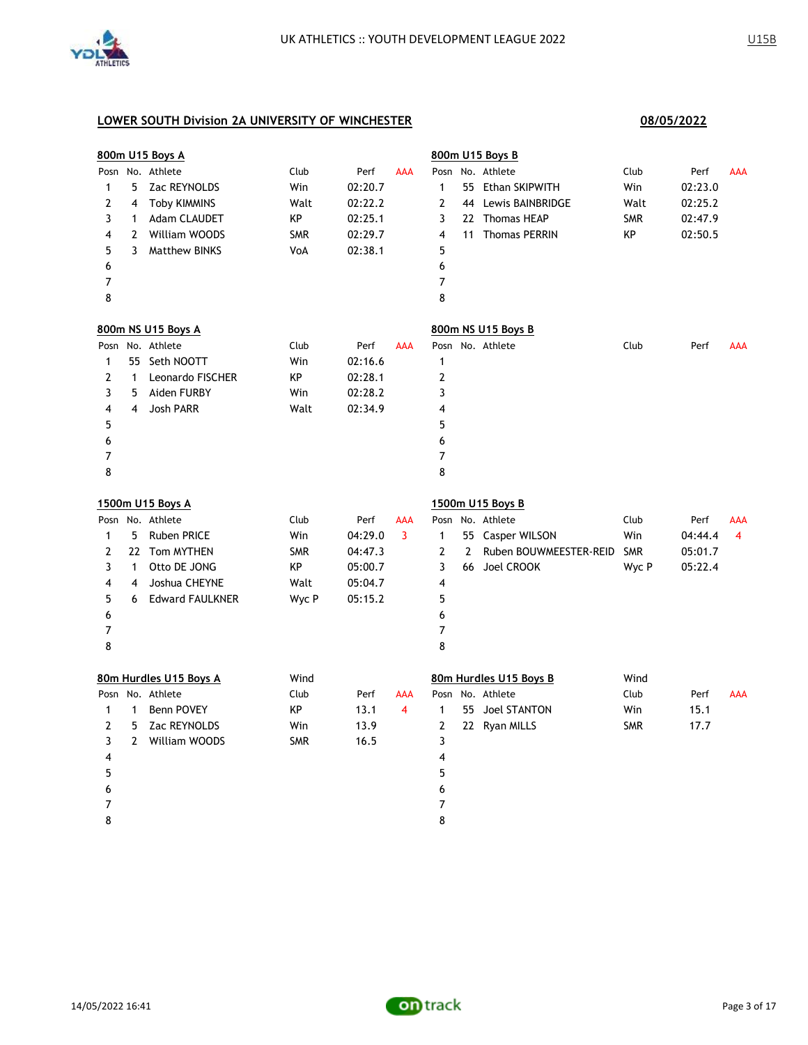

|                |              | 800m U15 Boys A        |            |         |                |                |              | 800m U15 Boys B        |            |         |                |
|----------------|--------------|------------------------|------------|---------|----------------|----------------|--------------|------------------------|------------|---------|----------------|
| Posn           |              | No. Athlete            | Club       | Perf    | <b>AAA</b>     | Posn           |              | No. Athlete            | Club       | Perf    | <b>AAA</b>     |
| 1              | 5            | Zac REYNOLDS           | Win        | 02:20.7 |                | 1              |              | 55 Ethan SKIPWITH      | Win        | 02:23.0 |                |
| 2              | 4            | <b>Toby KIMMINS</b>    | Walt       | 02:22.2 |                | $\mathbf{2}$   |              | 44 Lewis BAINBRIDGE    | Walt       | 02:25.2 |                |
| 3              | $\mathbf{1}$ | Adam CLAUDET           | КP         | 02:25.1 |                | 3              |              | 22 Thomas HEAP         | <b>SMR</b> | 02:47.9 |                |
| 4              |              | 2 William WOODS        | SMR        | 02:29.7 |                | 4              |              | 11 Thomas PERRIN       | KP         | 02:50.5 |                |
| 5              | 3            | <b>Matthew BINKS</b>   | VoA        | 02:38.1 |                | 5              |              |                        |            |         |                |
| 6              |              |                        |            |         |                | 6              |              |                        |            |         |                |
| 7              |              |                        |            |         |                | 7              |              |                        |            |         |                |
| 8              |              |                        |            |         |                | 8              |              |                        |            |         |                |
|                |              | 800m NS U15 Boys A     |            |         |                |                |              | 800m NS U15 Boys B     |            |         |                |
|                |              | Posn No. Athlete       | Club       | Perf    | <b>AAA</b>     |                |              | Posn No. Athlete       | Club       | Perf    | <b>AAA</b>     |
| 1              |              | 55 Seth NOOTT          | Win        | 02:16.6 |                | $\mathbf{1}$   |              |                        |            |         |                |
| 2              | $\mathbf{1}$ | Leonardo FISCHER       | КP         | 02:28.1 |                | $\mathbf{2}$   |              |                        |            |         |                |
| 3              | 5            | Aiden FURBY            | Win        | 02:28.2 |                | 3              |              |                        |            |         |                |
| 4              | 4            | Josh PARR              | Walt       | 02:34.9 |                | 4              |              |                        |            |         |                |
| 5              |              |                        |            |         |                | 5              |              |                        |            |         |                |
| 6              |              |                        |            |         |                | 6              |              |                        |            |         |                |
| 7              |              |                        |            |         |                | 7              |              |                        |            |         |                |
| 8              |              |                        |            |         |                | 8              |              |                        |            |         |                |
|                |              | 1500m U15 Boys A       |            |         |                |                |              | 1500m U15 Boys B       |            |         |                |
|                |              | Posn No. Athlete       | Club       | Perf    | AAA            |                |              | Posn No. Athlete       | Club       | Perf    | <b>AAA</b>     |
| $\mathbf{1}$   | 5.           | <b>Ruben PRICE</b>     | Win        | 04:29.0 | $\overline{3}$ | $\mathbf{1}$   |              | 55 Casper WILSON       | Win        | 04:44.4 | $\overline{4}$ |
| 2              |              | 22 Tom MYTHEN          | <b>SMR</b> | 04:47.3 |                | $\overline{2}$ | $\mathbf{2}$ | Ruben BOUWMEESTER-REID | <b>SMR</b> | 05:01.7 |                |
| 3              | $\mathbf{1}$ | Otto DE JONG           | КP         | 05:00.7 |                | 3              |              | 66 Joel CROOK          | Wyc P      | 05:22.4 |                |
| 4              | 4            | Joshua CHEYNE          | Walt       | 05:04.7 |                | 4              |              |                        |            |         |                |
| 5              | 6            | <b>Edward FAULKNER</b> | Wyc P      | 05:15.2 |                | 5              |              |                        |            |         |                |
| 6              |              |                        |            |         |                | 6              |              |                        |            |         |                |
| 7              |              |                        |            |         |                | 7              |              |                        |            |         |                |
| 8              |              |                        |            |         |                | 8              |              |                        |            |         |                |
|                |              | 80m Hurdles U15 Boys A | Wind       |         |                |                |              | 80m Hurdles U15 Boys B | Wind       |         |                |
|                |              | Posn No. Athlete       | Club       | Perf    | <b>AAA</b>     |                |              | Posn No. Athlete       | Club       | Perf    | <b>AAA</b>     |
| $\mathbf{1}$   | $\mathbf{1}$ | Benn POVEY             | КP         | 13.1    | $\overline{4}$ | $\mathbf{1}$   |              | 55 Joel STANTON        | Win        | 15.1    |                |
| $\overline{2}$ | 5            | Zac REYNOLDS           | Win        | 13.9    |                | $\overline{2}$ |              | 22 Ryan MILLS          | <b>SMR</b> | 17.7    |                |
| 3              | $\mathbf{2}$ | William WOODS          | <b>SMR</b> | 16.5    |                | 3              |              |                        |            |         |                |
| 4              |              |                        |            |         |                | 4              |              |                        |            |         |                |
| 5              |              |                        |            |         |                | 5              |              |                        |            |         |                |
| 6              |              |                        |            |         |                | 6              |              |                        |            |         |                |
| 7              |              |                        |            |         |                | 7              |              |                        |            |         |                |
| 8              |              |                        |            |         |                | 8              |              |                        |            |         |                |

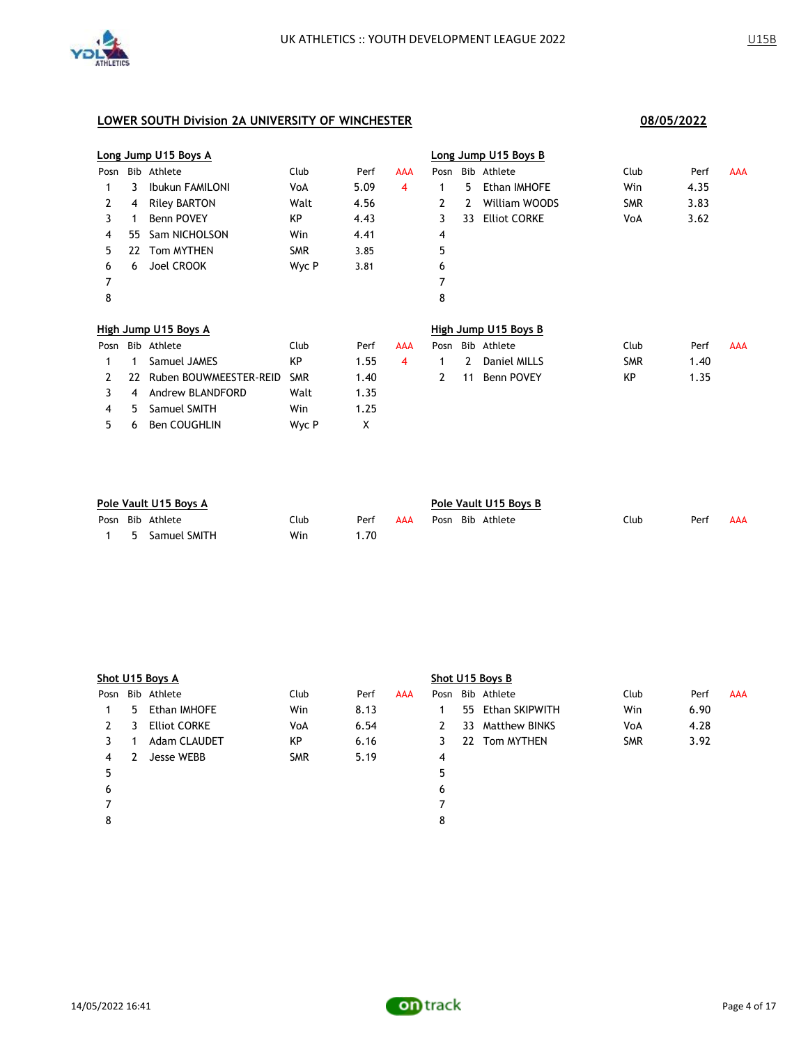

3 4 Andrew BLANDFORD Walt 1.35 4 5 Samuel SMITH Win 1.25 5 6 Ben COUGHLIN Wyc P X

# **Long Jump U15 Boys A Long Jump U15 Boys B** Posn Bib Athlete Club Perf AAA Posn Bib Athlete Club Perf AAA 1 3 Ibukun FAMILONI VoA 5.09 4 1 5 Ethan IMHOFE Win 4.35 2 4 Riley BARTON Walt 4.56 2 2 William WOODS SMR 3.83 3 1 Benn POVEY 6 KP 4.43 3 33 Elliot CORKE VoA 3.62 4 55 Sam NICHOLSON Win 4.41 4 5 22 Tom MYTHEN SMR 3.85 5 6 6 Joel CROOK Wyc P 3.81 6 7 7 8 8 **High Jump U15 Boys A High Jump U15 Boys B** Posn Bib Athlete Club Perf AAA Posn Bib Athlete Club Perf AAA 1 1 Samuel JAMES 6 1.55 4 1 2 Daniel MILLS 5MR 1.40 2 22 Ruben BOUWMEESTER-REID SMR 1.40 2 11 Benn POVEY KP 1.35

| Pole Vault U15 Boys A |    |                  |      | Pole Vault U15 Boys B |     |  |  |                  |      |      |     |
|-----------------------|----|------------------|------|-----------------------|-----|--|--|------------------|------|------|-----|
|                       |    | Posn Bib Athlete | Club | Perf                  | AAA |  |  | Posn Bib Athlete | Club | Perf | AAA |
|                       | -5 | Samuel SMITH     | Win  | . . 70                |     |  |  |                  |      |      |     |

|      | Shot U15 Boys A |                     |            |      |            | Shot U15 Boys B |    |                   |            |      |            |
|------|-----------------|---------------------|------------|------|------------|-----------------|----|-------------------|------------|------|------------|
| Posn |                 | Bib Athlete         | Club       | Perf | <b>AAA</b> |                 |    | Posn Bib Athlete  | Club       | Perf | <b>AAA</b> |
|      | 5.              | Ethan IMHOFE        | Win        | 8.13 |            |                 |    | 55 Ethan SKIPWITH | Win        | 6.90 |            |
| 2    | 3               | <b>Elliot CORKE</b> | VoA        | 6.54 |            | 2               | 33 | Matthew BINKS     | VoA        | 4.28 |            |
| 3.   |                 | Adam CLAUDET        | KP         | 6.16 |            | 3               |    | 22 Tom MYTHEN     | <b>SMR</b> | 3.92 |            |
| 4    | 2               | Jesse WEBB          | <b>SMR</b> | 5.19 |            | $\overline{4}$  |    |                   |            |      |            |
| 5    |                 |                     |            |      |            | 5               |    |                   |            |      |            |
| 6    |                 |                     |            |      |            | 6               |    |                   |            |      |            |
|      |                 |                     |            |      |            |                 |    |                   |            |      |            |
| 8    |                 |                     |            |      |            | 8               |    |                   |            |      |            |
|      |                 |                     |            |      |            |                 |    |                   |            |      |            |

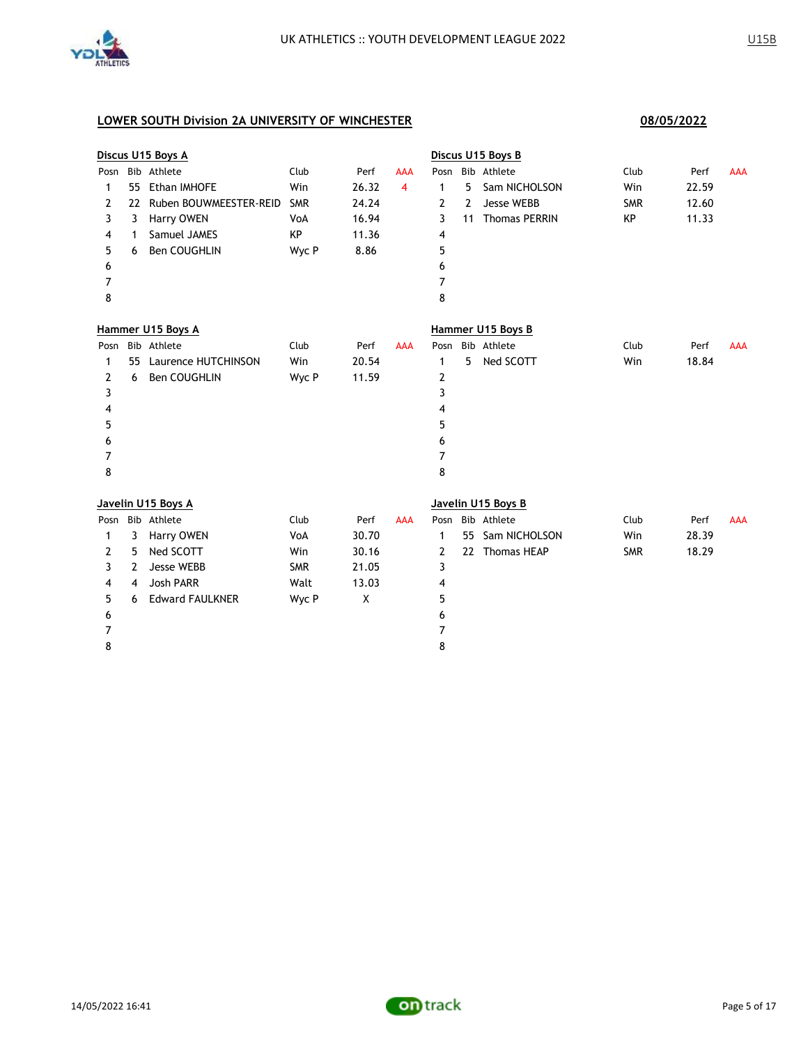

|      |                | Discus U15 Boys A      |            |       |                |                |    | Discus U15 Boys B    |            |       |            |
|------|----------------|------------------------|------------|-------|----------------|----------------|----|----------------------|------------|-------|------------|
| Posn |                | Bib Athlete            | Club       | Perf  | AAA            | Posn           |    | Bib Athlete          | Club       | Perf  | <b>AAA</b> |
| 1    | 55             | Ethan IMHOFE           | Win        | 26.32 | $\overline{4}$ | $\mathbf{1}$   | 5  | Sam NICHOLSON        | Win        | 22.59 |            |
| 2    | 22             | Ruben BOUWMEESTER-REID | <b>SMR</b> | 24.24 |                | 2              | 2  | <b>Jesse WEBB</b>    | <b>SMR</b> | 12.60 |            |
| 3    | 3              | Harry OWEN             | VoA        | 16.94 |                | 3              | 11 | <b>Thomas PERRIN</b> | KP         | 11.33 |            |
| 4    | 1              | Samuel JAMES           | КP         | 11.36 |                | 4              |    |                      |            |       |            |
| 5    | 6              | Ben COUGHLIN           | Wyc P      | 8.86  |                | 5              |    |                      |            |       |            |
| 6    |                |                        |            |       |                | 6              |    |                      |            |       |            |
| 7    |                |                        |            |       |                | $\overline{7}$ |    |                      |            |       |            |
| 8    |                |                        |            |       |                | 8              |    |                      |            |       |            |
|      |                | Hammer U15 Boys A      |            |       |                |                |    | Hammer U15 Boys B    |            |       |            |
| Posn |                | Bib Athlete            | Club       | Perf  | <b>AAA</b>     | Posn           |    | Bib Athlete          | Club       | Perf  | <b>AAA</b> |
| 1    | 55             | Laurence HUTCHINSON    | Win        | 20.54 |                | 1              | 5  | Ned SCOTT            | Win        | 18.84 |            |
| 2    | 6              | Ben COUGHLIN           | Wyc P      | 11.59 |                | 2              |    |                      |            |       |            |
| 3    |                |                        |            |       |                | 3              |    |                      |            |       |            |
| 4    |                |                        |            |       |                | 4              |    |                      |            |       |            |
| 5    |                |                        |            |       |                | 5              |    |                      |            |       |            |
| 6    |                |                        |            |       |                | 6              |    |                      |            |       |            |
| 7    |                |                        |            |       |                | $\overline{7}$ |    |                      |            |       |            |
| 8    |                |                        |            |       |                | 8              |    |                      |            |       |            |
|      |                | Javelin U15 Boys A     |            |       |                |                |    | Javelin U15 Boys B   |            |       |            |
| Posn |                | Bib Athlete            | Club       | Perf  | <b>AAA</b>     | Posn           |    | Bib Athlete          | Club       | Perf  | <b>AAA</b> |
| 1    | 3              | Harry OWEN             | VoA        | 30.70 |                | 1              |    | 55 Sam NICHOLSON     | Win        | 28.39 |            |
| 2    | 5              | Ned SCOTT              | Win        | 30.16 |                | 2              |    | 22 Thomas HEAP       | <b>SMR</b> | 18.29 |            |
| 3    | 2              | Jesse WEBB             | <b>SMR</b> | 21.05 |                | 3              |    |                      |            |       |            |
| 4    | $\overline{4}$ | <b>Josh PARR</b>       | Walt       | 13.03 |                | 4              |    |                      |            |       |            |
| 5    | 6              | <b>Edward FAULKNER</b> | Wyc P      | X     |                | 5              |    |                      |            |       |            |
| 6    |                |                        |            |       |                | 6              |    |                      |            |       |            |
| 7    |                |                        |            |       |                | $\overline{7}$ |    |                      |            |       |            |
| 8    |                |                        |            |       |                | 8              |    |                      |            |       |            |

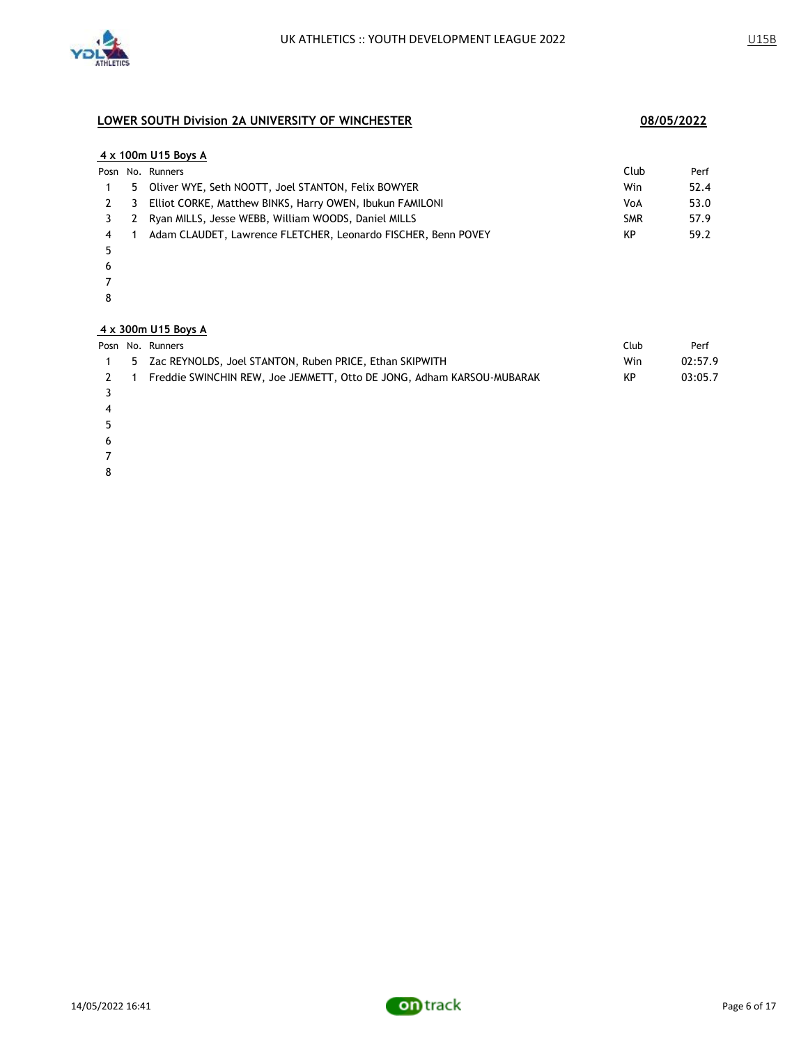

### **4 x 100m U15 Boys A**

|     | Posn No. Runners                                              | Club       | Perf |
|-----|---------------------------------------------------------------|------------|------|
|     | 5 Oliver WYE, Seth NOOTT, Joel STANTON, Felix BOWYER          | Win        | 52.4 |
| 2 3 | Elliot CORKE, Matthew BINKS, Harry OWEN, Ibukun FAMILONI      | VoA        | 53.0 |
|     | 3 2 Ryan MILLS, Jesse WEBB, William WOODS, Daniel MILLS       | <b>SMR</b> | 57.9 |
|     | Adam CLAUDET, Lawrence FLETCHER, Leonardo FISCHER, Benn POVEY | KP         | 59.2 |

- 
- 
- 
- 

### **4 x 300m U15 Boys A**

|  | Posn No. Runners |
|--|------------------|
|  |                  |

|   | Posn No. Runners                                                      | Club | Perf    |
|---|-----------------------------------------------------------------------|------|---------|
|   | 5 Zac REYNOLDS, Joel STANTON, Ruben PRICE, Ethan SKIPWITH             | Win  | 02:57.9 |
|   | Freddie SWINCHIN REW, Joe JEMMETT, Otto DE JONG, Adham KARSOU-MUBARAK | KP   | 03:05.7 |
|   |                                                                       |      |         |
| 4 |                                                                       |      |         |
|   |                                                                       |      |         |
|   |                                                                       |      |         |

- 
- 
- 

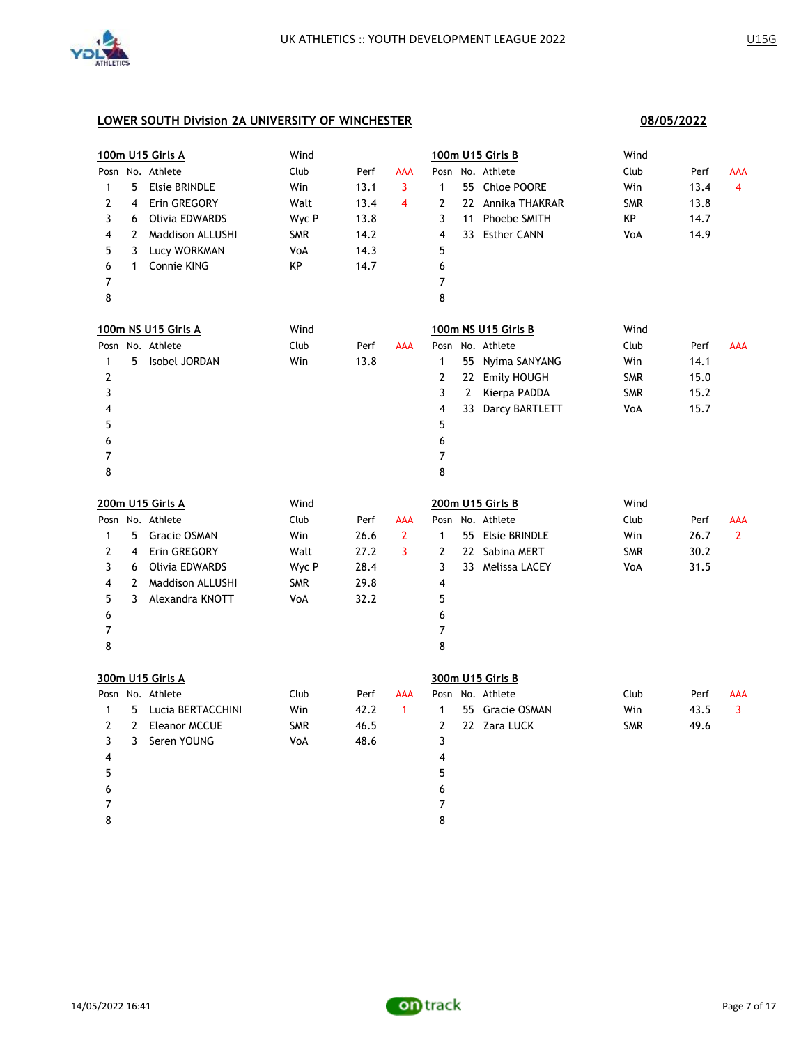

|                |                | 100m U15 Girls A        | Wind       |      |                         |                |              | 100m U15 Girls B    | Wind       |      |              |
|----------------|----------------|-------------------------|------------|------|-------------------------|----------------|--------------|---------------------|------------|------|--------------|
| Posn           |                | No. Athlete             | Club       | Perf | AAA                     | Posn           |              | No. Athlete         | Club       | Perf | AAA          |
| 1              | 5              | <b>Elsie BRINDLE</b>    | Win        | 13.1 | 3                       | $\mathbf{1}$   |              | 55 Chloe POORE      | Win        | 13.4 | 4            |
| 2              | 4              | Erin GREGORY            | Walt       | 13.4 | $\overline{\mathbf{4}}$ | 2              |              | 22 Annika THAKRAR   | <b>SMR</b> | 13.8 |              |
| 3              | 6              | Olivia EDWARDS          | Wyc P      | 13.8 |                         | 3              |              | 11 Phoebe SMITH     | КP         | 14.7 |              |
| 4              | $\overline{2}$ | <b>Maddison ALLUSHI</b> | <b>SMR</b> | 14.2 |                         | 4              |              | 33 Esther CANN      | VoA        | 14.9 |              |
| 5              | 3              | Lucy WORKMAN            | VoA        | 14.3 |                         | 5              |              |                     |            |      |              |
| 6              | $\mathbf{1}$   | Connie KING             | KP         | 14.7 |                         | 6              |              |                     |            |      |              |
| $\overline{7}$ |                |                         |            |      |                         | $\overline{7}$ |              |                     |            |      |              |
| 8              |                |                         |            |      |                         | 8              |              |                     |            |      |              |
|                |                | 100m NS U15 Girls A     | Wind       |      |                         |                |              | 100m NS U15 Girls B | Wind       |      |              |
|                |                | Posn No. Athlete        | Club       | Perf | AAA                     |                |              | Posn No. Athlete    | Club       | Perf | <b>AAA</b>   |
| $\mathbf{1}$   | 5              | Isobel JORDAN           | Win        | 13.8 |                         | $\mathbf{1}$   | 55           | Nyima SANYANG       | Win        | 14.1 |              |
| 2              |                |                         |            |      |                         | $\overline{2}$ |              | 22 Emily HOUGH      | <b>SMR</b> | 15.0 |              |
| 3              |                |                         |            |      |                         | 3              | $\mathbf{2}$ | Kierpa PADDA        | <b>SMR</b> | 15.2 |              |
| 4              |                |                         |            |      |                         | 4              |              | 33 Darcy BARTLETT   | VoA        | 15.7 |              |
| 5              |                |                         |            |      |                         | 5              |              |                     |            |      |              |
| 6              |                |                         |            |      |                         | 6              |              |                     |            |      |              |
| 7              |                |                         |            |      |                         | 7              |              |                     |            |      |              |
| 8              |                |                         |            |      |                         | 8              |              |                     |            |      |              |
|                |                | 200m U15 Girls A        | Wind       |      |                         |                |              | 200m U15 Girls B    | Wind       |      |              |
|                |                | Posn No. Athlete        | Club       | Perf | AAA                     |                |              | Posn No. Athlete    | Club       | Perf | AAA          |
| 1              | 5              | <b>Gracie OSMAN</b>     | Win        | 26.6 | $\overline{2}$          | $\mathbf{1}$   |              | 55 Elsie BRINDLE    | Win        | 26.7 | $\mathbf{2}$ |
| 2              | $\overline{4}$ | Erin GREGORY            | Walt       | 27.2 | 3                       | $\overline{2}$ |              | 22 Sabina MERT      | <b>SMR</b> | 30.2 |              |
| 3              | 6              | Olivia EDWARDS          | Wyc P      | 28.4 |                         | 3              |              | 33 Melissa LACEY    | VoA        | 31.5 |              |
| 4              | $\overline{2}$ | <b>Maddison ALLUSHI</b> | <b>SMR</b> | 29.8 |                         | 4              |              |                     |            |      |              |
| 5              | 3              | Alexandra KNOTT         | VoA        | 32.2 |                         | 5              |              |                     |            |      |              |
| 6              |                |                         |            |      |                         | 6              |              |                     |            |      |              |
| $\overline{7}$ |                |                         |            |      |                         | 7              |              |                     |            |      |              |
| 8              |                |                         |            |      |                         | 8              |              |                     |            |      |              |
|                |                | 300m U15 Girls A        |            |      |                         |                |              | 300m U15 Girls B    |            |      |              |
|                |                | Posn No. Athlete        | Club       | Perf | AAA                     |                |              | Posn No. Athlete    | Club       | Perf | AAA          |
| $\mathbf{1}$   | 5              | Lucia BERTACCHINI       | Win        | 42.2 | $\overline{1}$          | $\mathbf{1}$   |              | 55 Gracie OSMAN     | Win        | 43.5 | 3            |
| 2              | $\overline{2}$ | <b>Eleanor MCCUE</b>    | <b>SMR</b> | 46.5 |                         | 2              |              | 22 Zara LUCK        | <b>SMR</b> | 49.6 |              |
| 3              | 3              | Seren YOUNG             | VoA        | 48.6 |                         | 3              |              |                     |            |      |              |
| 4              |                |                         |            |      |                         | 4              |              |                     |            |      |              |
| 5              |                |                         |            |      |                         | 5              |              |                     |            |      |              |
| 6              |                |                         |            |      |                         | 6              |              |                     |            |      |              |
| 7              |                |                         |            |      |                         | 7              |              |                     |            |      |              |
| 8              |                |                         |            |      |                         | 8              |              |                     |            |      |              |

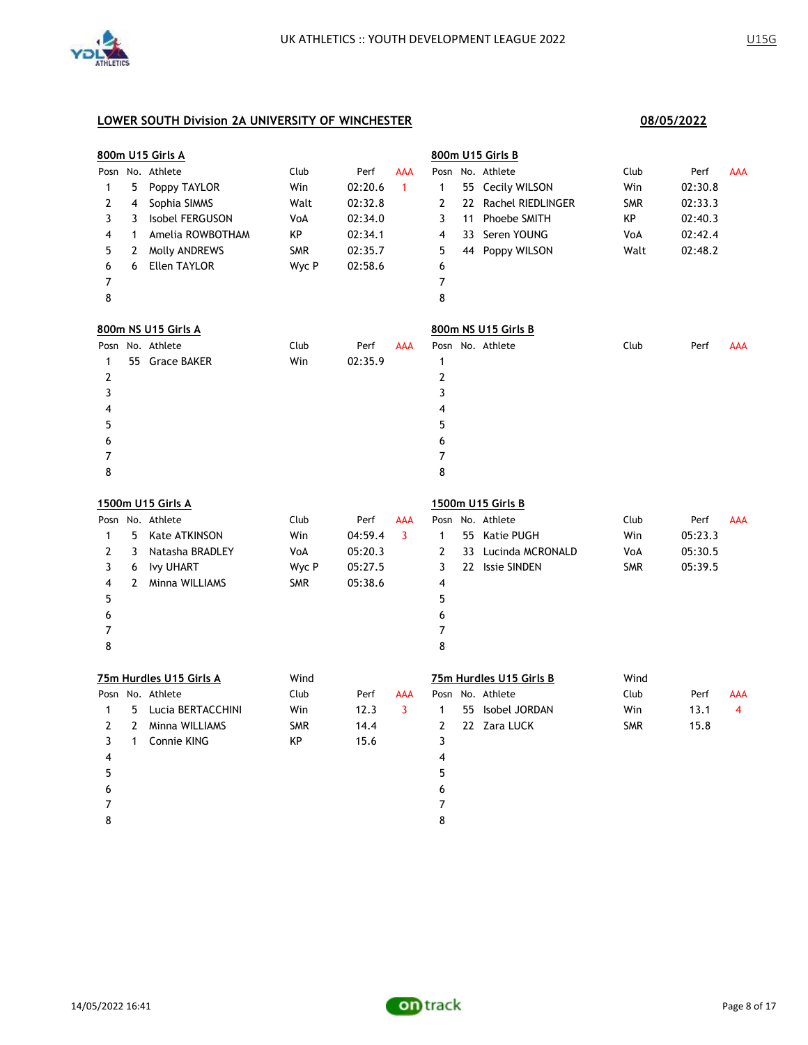

8

|                |              | <u>800m U15 Girls A</u> |            |         |              |                         | 800m U15 Girls B        |            |         |            |
|----------------|--------------|-------------------------|------------|---------|--------------|-------------------------|-------------------------|------------|---------|------------|
|                |              | Posn No. Athlete        | Club       | Perf    | <b>AAA</b>   |                         | Posn No. Athlete        | Club       | Perf    | <b>AAA</b> |
| 1              | 5            | Poppy TAYLOR            | Win        | 02:20.6 | $\mathbf{1}$ | $\mathbf{1}$            | 55 Cecily WILSON        | Win        | 02:30.8 |            |
| 2              | 4            | Sophia SIMMS            | Walt       | 02:32.8 |              | $\overline{2}$          | 22 Rachel RIEDLINGER    | <b>SMR</b> | 02:33.3 |            |
| 3              | 3            | Isobel FERGUSON         | VoA        | 02:34.0 |              | 3                       | 11 Phoebe SMITH         | КP         | 02:40.3 |            |
| 4              | $\mathbf{1}$ | Amelia ROWBOTHAM        | KP         | 02:34.1 |              | 4                       | 33 Seren YOUNG          | VoA        | 02:42.4 |            |
| 5              | 2            | Molly ANDREWS           | <b>SMR</b> | 02:35.7 |              | 5                       | 44 Poppy WILSON         | Walt       | 02:48.2 |            |
| 6              | 6            | <b>Ellen TAYLOR</b>     | Wyc P      | 02:58.6 |              | 6                       |                         |            |         |            |
| 7              |              |                         |            |         |              | $\overline{7}$          |                         |            |         |            |
| 8              |              |                         |            |         |              | 8                       |                         |            |         |            |
|                |              | 800m NS U15 Girls A     |            |         |              |                         | 800m NS U15 Girls B     |            |         |            |
|                |              | Posn No. Athlete        | Club       | Perf    | <b>AAA</b>   |                         | Posn No. Athlete        | Club       | Perf    | AAA        |
| $\mathbf{1}$   |              | 55 Grace BAKER          | Win        | 02:35.9 |              | $\mathbf{1}$            |                         |            |         |            |
| 2              |              |                         |            |         |              | $\overline{2}$          |                         |            |         |            |
| 3              |              |                         |            |         |              | 3                       |                         |            |         |            |
| 4              |              |                         |            |         |              | 4                       |                         |            |         |            |
| 5              |              |                         |            |         |              | 5                       |                         |            |         |            |
| 6              |              |                         |            |         |              | 6                       |                         |            |         |            |
| 7              |              |                         |            |         |              | $\overline{7}$          |                         |            |         |            |
| 8              |              |                         |            |         |              | 8                       |                         |            |         |            |
|                |              | 1500m U15 Girls A       |            |         |              |                         | 1500m U15 Girls B       |            |         |            |
|                |              | Posn No. Athlete        | Club       | Perf    | <b>AAA</b>   |                         | Posn No. Athlete        | Club       | Perf    | <b>AAA</b> |
| 1              | 5            | Kate ATKINSON           | Win        | 04:59.4 | 3            | $\mathbf{1}$            | 55 Katie PUGH           | Win        | 05:23.3 |            |
| 2              | 3            | Natasha BRADLEY         | VoA        | 05:20.3 |              | $\overline{2}$          | 33 Lucinda MCRONALD     | VoA        | 05:30.5 |            |
| 3              | 6            | <b>Ivy UHART</b>        | Wyc P      | 05:27.5 |              | 3                       | 22 Issie SINDEN         | <b>SMR</b> | 05:39.5 |            |
| 4              | $\mathbf{2}$ | Minna WILLIAMS          | <b>SMR</b> | 05:38.6 |              | 4                       |                         |            |         |            |
| 5              |              |                         |            |         |              | 5                       |                         |            |         |            |
| 6              |              |                         |            |         |              | 6                       |                         |            |         |            |
| 7              |              |                         |            |         |              | 7                       |                         |            |         |            |
| 8              |              |                         |            |         |              | 8                       |                         |            |         |            |
|                |              | 75m Hurdles U15 Girls A | Wind       |         |              |                         | 75m Hurdles U15 Girls B | Wind       |         |            |
|                |              | Posn No. Athlete        | Club       | Perf    | <b>AAA</b>   |                         | Posn No. Athlete        | Club       | Perf    | AAA        |
| 1              | 5.           | Lucia BERTACCHINI       | Win        | 12.3    | 3            | $\mathbf{1}$            | 55 Isobel JORDAN        | Win        | 13.1    | 4          |
| 2              | 2            | Minna WILLIAMS          | <b>SMR</b> | 14.4    |              | 2                       | 22 Zara LUCK            | <b>SMR</b> | 15.8    |            |
| 3              | $\mathbf{1}$ | <b>Connie KING</b>      | KP         | 15.6    |              | 3                       |                         |            |         |            |
| 4              |              |                         |            |         |              | $\overline{\mathbf{4}}$ |                         |            |         |            |
| 5              |              |                         |            |         |              | 5                       |                         |            |         |            |
| 6              |              |                         |            |         |              | 6                       |                         |            |         |            |
| $\overline{7}$ |              |                         |            |         |              | $\overline{7}$          |                         |            |         |            |

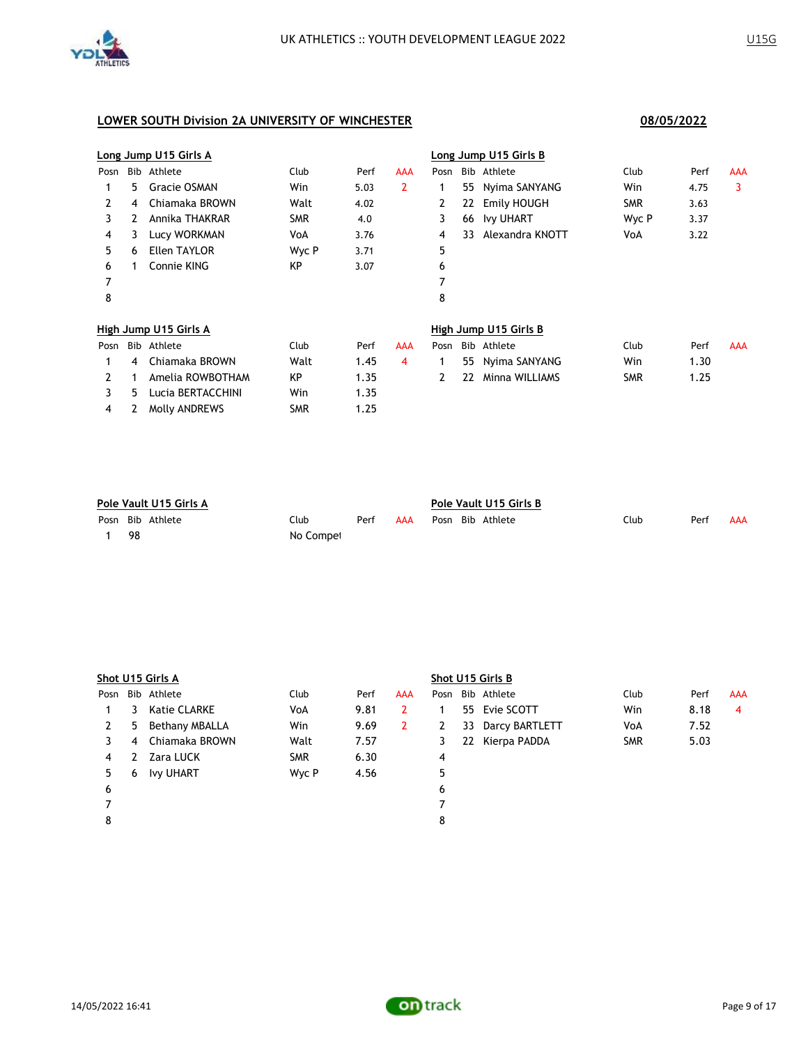

|      |    | Long Jump U15 Girls A |            |      |     |      |    | Long Jump U15 Girls B |            |      |            |
|------|----|-----------------------|------------|------|-----|------|----|-----------------------|------------|------|------------|
| Posn |    | Bib Athlete           | Club       | Perf | AAA | Posn |    | Bib Athlete           | Club       | Perf | <b>AAA</b> |
|      | 5. | Gracie OSMAN          | Win        | 5.03 | 2   | 1    | 55 | Nyima SANYANG         | Win        | 4.75 | 3          |
| 2    | 4  | Chiamaka BROWN        | Walt       | 4.02 |     | 2    | 22 | Emily HOUGH           | <b>SMR</b> | 3.63 |            |
| 3    | 2  | Annika THAKRAR        | <b>SMR</b> | 4.0  |     | 3    | 66 | <b>Ivy UHART</b>      | Wyc P      | 3.37 |            |
| 4    | 3  | Lucy WORKMAN          | VoA        | 3.76 |     | 4    | 33 | Alexandra KNOTT       | VoA        | 3.22 |            |
| 5.   | 6  | <b>Ellen TAYLOR</b>   | Wyc P      | 3.71 |     | 5    |    |                       |            |      |            |
| 6    |    | Connie KING           | KP         | 3.07 |     | 6    |    |                       |            |      |            |
|      |    |                       |            |      |     | 7    |    |                       |            |      |            |
| 8    |    |                       |            |      |     | 8    |    |                       |            |      |            |
|      |    | High Jump U15 Girls A |            |      |     |      |    | High Jump U15 Girls B |            |      |            |
| Posn |    | Bib Athlete           | Club       | Perf | AAA | Posn |    | Bib Athlete           | Club       | Perf | AAA        |
|      | 4  | Chiamaka BROWN        | Walt       | 1.45 | 4   | 1    | 55 | Nyima SANYANG         | Win        | 1.30 |            |
| 2    |    | Amelia ROWBOTHAM      | KP         | 1.35 |     | 2    | 22 | Minna WILLIAMS        | <b>SMR</b> | 1.25 |            |
| 3    | 5  | Lucia BERTACCHINI     | Win        | 1.35 |     |      |    |                       |            |      |            |
| 4    |    | Molly ANDREWS         | <b>SMR</b> | 1.25 |     |      |    |                       |            |      |            |

| Pole Vault U15 Girls A |                  |           |      |     | Pole Vault U15 Girls B |  |                  |      |      |     |
|------------------------|------------------|-----------|------|-----|------------------------|--|------------------|------|------|-----|
|                        | Posn Bib Athlete | Club      | Perf | AAA |                        |  | Posn Bib Athlete | Club | Perf | AAA |
| -98                    |                  | No Compet |      |     |                        |  |                  |      |      |     |

|      | Shot U15 Girls A |                  |            |      |     | Shot U15 Girls B |    |                |            |      |     |  |
|------|------------------|------------------|------------|------|-----|------------------|----|----------------|------------|------|-----|--|
| Posn |                  | Bib Athlete      | Club       | Perf | AAA | Posn             |    | Bib Athlete    | Club       | Perf | AAA |  |
|      | 3                | Katie CLARKE     | VoA        | 9.81 | 2   |                  |    | 55 Evie SCOTT  | Win        | 8.18 | 4   |  |
| 2    | 5                | Bethany MBALLA   | Win        | 9.69 | 2   | 2                | 33 | Darcy BARTLETT | VoA        | 7.52 |     |  |
| 3    | 4                | Chiamaka BROWN   | Walt       | 7.57 |     | 3                | 22 | Kierpa PADDA   | <b>SMR</b> | 5.03 |     |  |
| 4    |                  | Zara LUCK        | <b>SMR</b> | 6.30 |     | 4                |    |                |            |      |     |  |
| 5.   | 6                | <b>Ivy UHART</b> | Wyc P      | 4.56 |     | 5                |    |                |            |      |     |  |
| 6    |                  |                  |            |      |     | 6                |    |                |            |      |     |  |
|      |                  |                  |            |      |     |                  |    |                |            |      |     |  |
| 8    |                  |                  |            |      |     | 8                |    |                |            |      |     |  |
|      |                  |                  |            |      |     |                  |    |                |            |      |     |  |

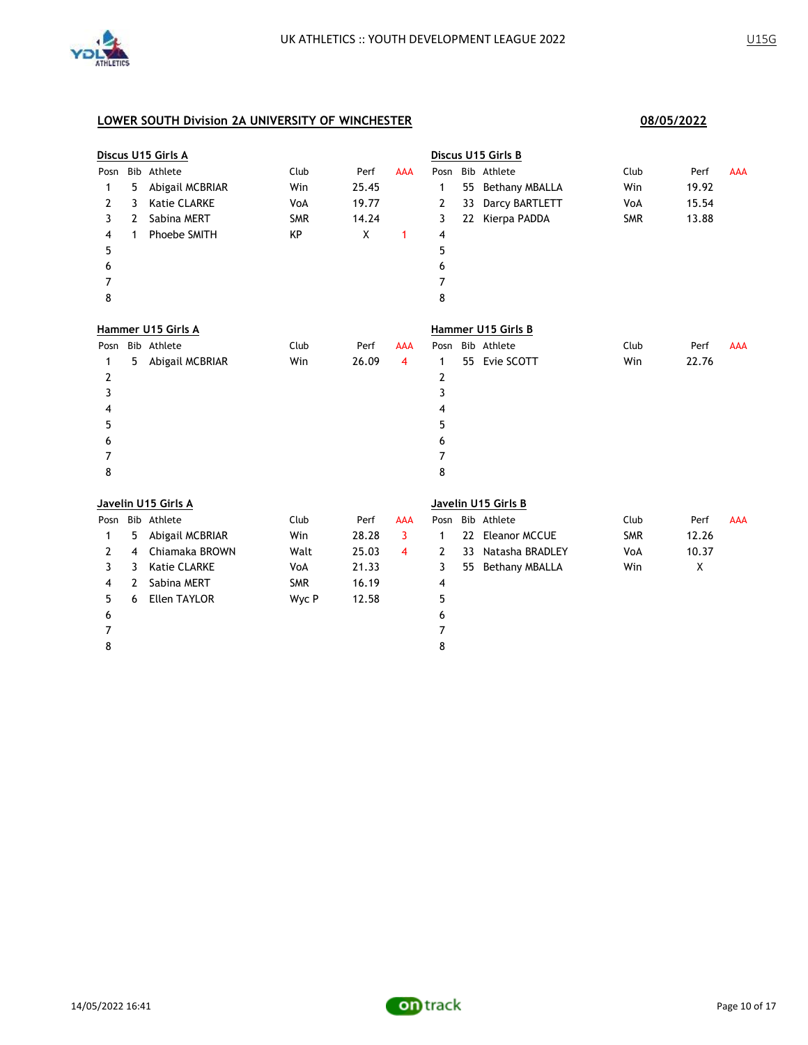

|                |   | Discus U15 Girls A  |            |       |                         |      |    | Discus U15 Girls B    |            |       |            |
|----------------|---|---------------------|------------|-------|-------------------------|------|----|-----------------------|------------|-------|------------|
| Posn           |   | Bib Athlete         | Club       | Perf  | <b>AAA</b>              |      |    | Posn Bib Athlete      | Club       | Perf  | <b>AAA</b> |
| 1              | 5 | Abigail MCBRIAR     | Win        | 25.45 |                         | 1    | 55 | <b>Bethany MBALLA</b> | Win        | 19.92 |            |
| 2              | 3 | <b>Katie CLARKE</b> | VoA        | 19.77 |                         | 2    | 33 | Darcy BARTLETT        | VoA        | 15.54 |            |
| 3              | 2 | Sabina MERT         | <b>SMR</b> | 14.24 |                         | 3    | 22 | Kierpa PADDA          | <b>SMR</b> | 13.88 |            |
| 4              | 1 | Phoebe SMITH        | KP         | X     | 1                       | 4    |    |                       |            |       |            |
| 5              |   |                     |            |       |                         | 5    |    |                       |            |       |            |
| 6              |   |                     |            |       |                         | 6    |    |                       |            |       |            |
| 7              |   |                     |            |       |                         | 7    |    |                       |            |       |            |
| 8              |   |                     |            |       |                         | 8    |    |                       |            |       |            |
|                |   | Hammer U15 Girls A  |            |       |                         |      |    | Hammer U15 Girls B    |            |       |            |
| Posn           |   | Bib Athlete         | Club       | Perf  | <b>AAA</b>              |      |    | Posn Bib Athlete      | Club       | Perf  | <b>AAA</b> |
| 1              | 5 | Abigail MCBRIAR     | Win        | 26.09 | 4                       | 1    |    | 55 Evie SCOTT         | Win        | 22.76 |            |
| 2              |   |                     |            |       |                         | 2    |    |                       |            |       |            |
| 3              |   |                     |            |       |                         | 3    |    |                       |            |       |            |
| 4              |   |                     |            |       |                         | 4    |    |                       |            |       |            |
| 5              |   |                     |            |       |                         | 5    |    |                       |            |       |            |
| 6              |   |                     |            |       |                         | 6    |    |                       |            |       |            |
| 7              |   |                     |            |       |                         | 7    |    |                       |            |       |            |
| 8              |   |                     |            |       |                         | 8    |    |                       |            |       |            |
|                |   | Javelin U15 Girls A |            |       |                         |      |    | Javelin U15 Girls B   |            |       |            |
| Posn           |   | Bib Athlete         | Club       | Perf  | <b>AAA</b>              | Posn |    | Bib Athlete           | Club       | Perf  | <b>AAA</b> |
| 1              | 5 | Abigail MCBRIAR     | Win        | 28.28 | 3                       | 1    | 22 | Eleanor MCCUE         | <b>SMR</b> | 12.26 |            |
| 2              | 4 | Chiamaka BROWN      | Walt       | 25.03 | $\overline{\mathbf{4}}$ | 2    | 33 | Natasha BRADLEY       | VoA        | 10.37 |            |
| 3              | 3 | <b>Katie CLARKE</b> | VoA        | 21.33 |                         | 3    | 55 | <b>Bethany MBALLA</b> | Win        | X     |            |
| 4              | 2 | Sabina MERT         | <b>SMR</b> | 16.19 |                         | 4    |    |                       |            |       |            |
| 5              | 6 | Ellen TAYLOR        | Wyc P      | 12.58 |                         | 5    |    |                       |            |       |            |
| 6              |   |                     |            |       |                         | 6    |    |                       |            |       |            |
| $\overline{7}$ |   |                     |            |       |                         | 7    |    |                       |            |       |            |
| 8              |   |                     |            |       |                         | 8    |    |                       |            |       |            |

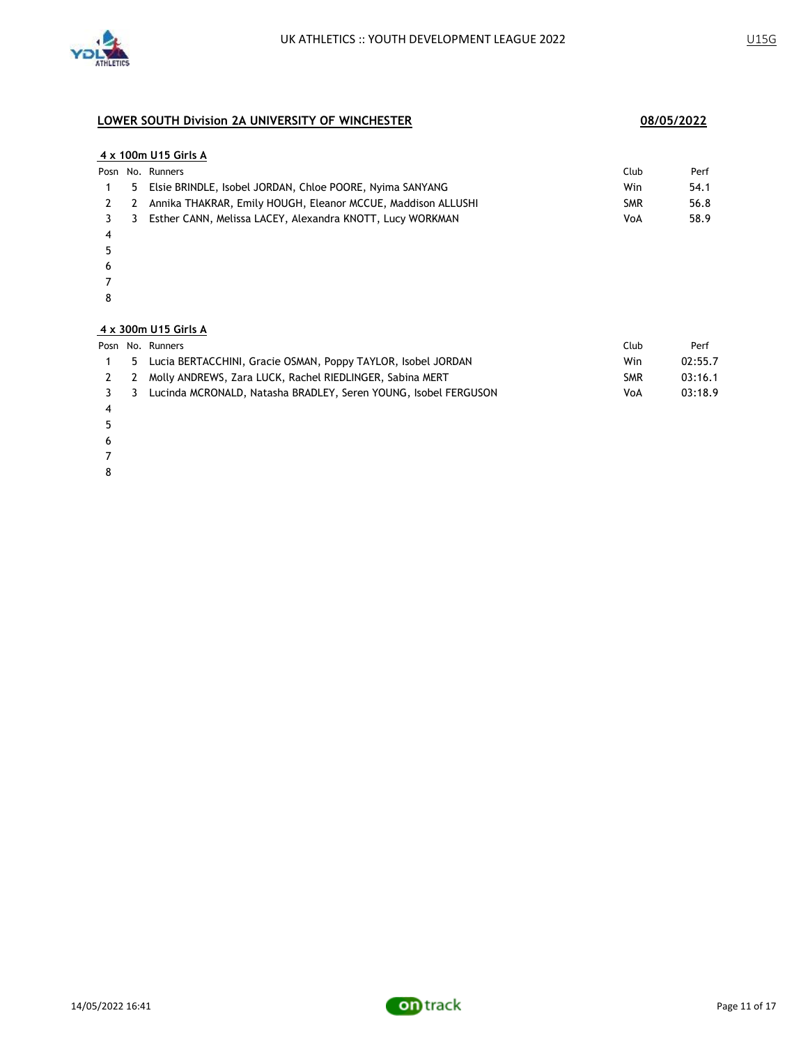

### **4 x 100m U15 Girls A**

|  | Posn No. Runners                                                 | Club       | Perf |
|--|------------------------------------------------------------------|------------|------|
|  | 5 Elsie BRINDLE, Isobel JORDAN, Chloe POORE, Nyima SANYANG       | Win        | 54.1 |
|  | 2 2 Annika THAKRAR, Emily HOUGH, Eleanor MCCUE, Maddison ALLUSHI | <b>SMR</b> | 56.8 |
|  | 3 3 Esther CANN, Melissa LACEY, Alexandra KNOTT, Lucy WORKMAN    | VoA        | 58.9 |
|  |                                                                  |            |      |

- 
- 
- 
- 
- 

### **4 x 300m U15 Girls A**

|    | Posn No. Runners                                                  | Club       | Perf    |
|----|-------------------------------------------------------------------|------------|---------|
| -5 | Lucia BERTACCHINI, Gracie OSMAN, Poppy TAYLOR, Isobel JORDAN      | Win        | 02:55.7 |
|    | 2 2 Molly ANDREWS, Zara LUCK, Rachel RIEDLINGER, Sabina MERT      | <b>SMR</b> | 03:16.1 |
|    | 3 Lucinda MCRONALD, Natasha BRADLEY, Seren YOUNG, Isobel FERGUSON | VoA        | 03:18.9 |
|    |                                                                   |            |         |

- 
- 
- 
- 
- 

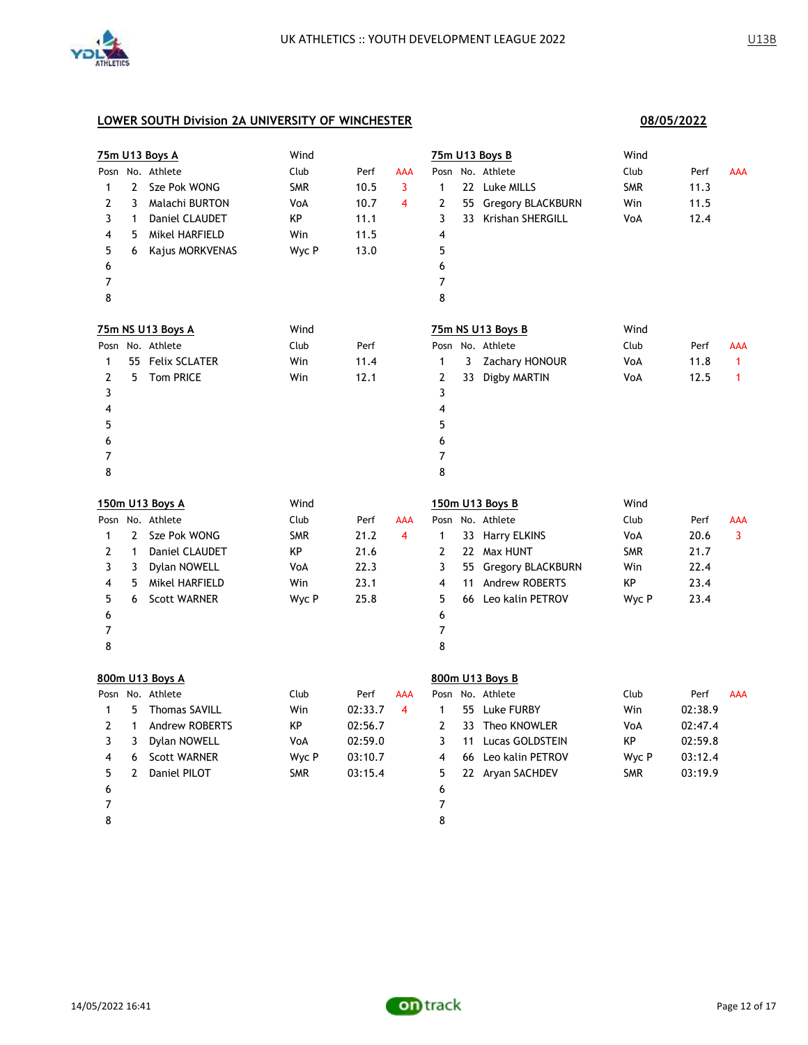

|                |              | 75m U13 Boys A        | Wind       |         |                |                |    | 75m U13 Boys B           | Wind       |         |              |
|----------------|--------------|-----------------------|------------|---------|----------------|----------------|----|--------------------------|------------|---------|--------------|
| Posn           |              | No. Athlete           | Club       | Perf    | <b>AAA</b>     | Posn           |    | No. Athlete              | Club       | Perf    | <b>AAA</b>   |
| $\mathbf{1}$   | $\mathbf{2}$ | Sze Pok WONG          | <b>SMR</b> | 10.5    | 3              | 1              |    | 22 Luke MILLS            | <b>SMR</b> | 11.3    |              |
| $\overline{2}$ | 3            | Malachi BURTON        | VoA        | 10.7    | 4              | 2              | 55 | Gregory BLACKBURN        | Win        | 11.5    |              |
| 3              | $\mathbf{1}$ | Daniel CLAUDET        | KP         | 11.1    |                | 3              |    | 33 Krishan SHERGILL      | VoA        | 12.4    |              |
| 4              | 5            | Mikel HARFIELD        | Win        | 11.5    |                | 4              |    |                          |            |         |              |
| 5              | 6            | Kajus MORKVENAS       | Wyc P      | 13.0    |                | 5              |    |                          |            |         |              |
| 6              |              |                       |            |         |                | 6              |    |                          |            |         |              |
| 7              |              |                       |            |         |                | $\overline{7}$ |    |                          |            |         |              |
| 8              |              |                       |            |         |                | 8              |    |                          |            |         |              |
|                |              | 75m NS U13 Boys A     | Wind       |         |                |                |    | 75m NS U13 Boys B        | Wind       |         |              |
| Posn           |              | No. Athlete           | Club       | Perf    |                |                |    | Posn No. Athlete         | Club       | Perf    | AAA          |
| 1              |              | 55 Felix SCLATER      | Win        | 11.4    |                | $\mathbf{1}$   | 3  | Zachary HONOUR           | VoA        | 11.8    | $\mathbf{1}$ |
| 2              | 5.           | <b>Tom PRICE</b>      | Win        | 12.1    |                | 2              |    | 33 Digby MARTIN          | VoA        | 12.5    | $\mathbf{1}$ |
| 3              |              |                       |            |         |                | 3              |    |                          |            |         |              |
| 4              |              |                       |            |         |                | 4              |    |                          |            |         |              |
| 5              |              |                       |            |         |                | 5              |    |                          |            |         |              |
| 6              |              |                       |            |         |                | 6              |    |                          |            |         |              |
| 7              |              |                       |            |         |                | 7              |    |                          |            |         |              |
| 8              |              |                       |            |         |                | 8              |    |                          |            |         |              |
|                |              | 150m U13 Boys A       | Wind       |         |                |                |    | 150m U13 Boys B          | Wind       |         |              |
|                |              | Posn No. Athlete      | Club       | Perf    | AAA            |                |    | Posn No. Athlete         | Club       | Perf    | AAA          |
| $\mathbf{1}$   | $\mathbf{2}$ | Sze Pok WONG          | <b>SMR</b> | 21.2    | $\overline{4}$ | $\mathbf{1}$   |    | 33 Harry ELKINS          | VoA        | 20.6    | 3            |
| 2              |              |                       |            | 21.6    |                |                |    | 22 Max HUNT              |            |         |              |
|                | $\mathbf{1}$ | Daniel CLAUDET        | КP         |         |                | 2              |    |                          | <b>SMR</b> | 21.7    |              |
| 3              | 3            | Dylan NOWELL          | VoA        | 22.3    |                | 3              | 55 | <b>Gregory BLACKBURN</b> | Win        | 22.4    |              |
| 4              | 5            | Mikel HARFIELD        | Win        | 23.1    |                | 4              |    | 11 Andrew ROBERTS        | КP         | 23.4    |              |
| 5              | 6            | <b>Scott WARNER</b>   | Wyc P      | 25.8    |                | 5              |    | 66 Leo kalin PETROV      | Wyc P      | 23.4    |              |
| 6              |              |                       |            |         |                | 6              |    |                          |            |         |              |
| 7              |              |                       |            |         |                | $\overline{7}$ |    |                          |            |         |              |
| 8              |              |                       |            |         |                | 8              |    |                          |            |         |              |
|                |              | 800m U13 Boys A       |            |         |                |                |    | 800m U13 Boys B          |            |         |              |
|                |              | Posn No. Athlete      | Club       | Perf    | <b>AAA</b>     |                |    | Posn No. Athlete         | Club       | Perf    | <b>AAA</b>   |
| 1              | 5            | <b>Thomas SAVILL</b>  | Win        | 02:33.7 | 4              | $\mathbf{1}$   |    | 55 Luke FURBY            | Win        | 02:38.9 |              |
| $\overline{2}$ | 1            | <b>Andrew ROBERTS</b> | KP         | 02:56.7 |                | $\overline{2}$ |    | 33 Theo KNOWLER          | VoA        | 02:47.4 |              |
| 3              | 3            | Dylan NOWELL          | VoA        | 02:59.0 |                | 3              |    | 11 Lucas GOLDSTEIN       | KP         | 02:59.8 |              |
| 4              | 6            | <b>Scott WARNER</b>   | Wyc P      | 03:10.7 |                | 4              |    | 66 Leo kalin PETROV      | Wyc P      | 03:12.4 |              |
| 5              | 2            | Daniel PILOT          | <b>SMR</b> | 03:15.4 |                | 5              |    | 22 Aryan SACHDEV         | <b>SMR</b> | 03:19.9 |              |
| 6              |              |                       |            |         |                | 6              |    |                          |            |         |              |
| 7              |              |                       |            |         |                | 7              |    |                          |            |         |              |

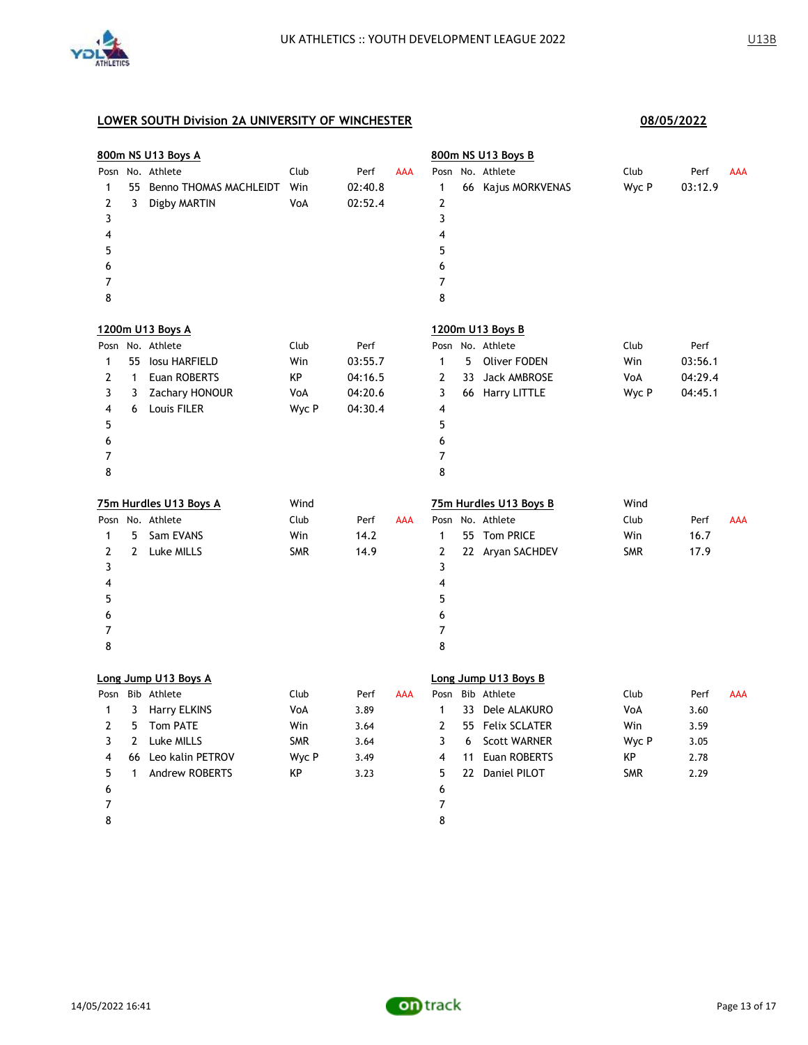

|                |              | 800m NS U13 Boys A        |            |         |            |                |    | 800m NS U13 Boys B     |            |         |            |
|----------------|--------------|---------------------------|------------|---------|------------|----------------|----|------------------------|------------|---------|------------|
| Posn           |              | No. Athlete               | Club       | Perf    | AAA        | Posn           |    | No. Athlete            | Club       | Perf    | AAA        |
| 1              |              | 55 Benno THOMAS MACHLEIDT | Win        | 02:40.8 |            | 1              |    | 66 Kajus MORKVENAS     | Wyc P      | 03:12.9 |            |
| 2              | 3            | Digby MARTIN              | VoA        | 02:52.4 |            | 2              |    |                        |            |         |            |
| 3              |              |                           |            |         |            | 3              |    |                        |            |         |            |
| 4              |              |                           |            |         |            | 4              |    |                        |            |         |            |
| 5              |              |                           |            |         |            | 5              |    |                        |            |         |            |
| 6              |              |                           |            |         |            | 6              |    |                        |            |         |            |
| 7              |              |                           |            |         |            | $\overline{7}$ |    |                        |            |         |            |
| 8              |              |                           |            |         |            | 8              |    |                        |            |         |            |
|                |              | 1200m U13 Boys A          |            |         |            |                |    | 1200m U13 Boys B       |            |         |            |
|                |              | Posn No. Athlete          | Club       | Perf    |            |                |    | Posn No. Athlete       | Club       | Perf    |            |
| $\mathbf{1}$   |              | 55 Iosu HARFIELD          | Win        | 03:55.7 |            | $\mathbf{1}$   | 5  | <b>Oliver FODEN</b>    | Win        | 03:56.1 |            |
| 2              | $\mathbf{1}$ | Euan ROBERTS              | КP         | 04:16.5 |            | $\overline{2}$ | 33 | Jack AMBROSE           | VoA        | 04:29.4 |            |
| 3              | 3            | Zachary HONOUR            | VoA        | 04:20.6 |            | 3              |    | 66 Harry LITTLE        | Wyc P      | 04:45.1 |            |
| 4              | 6            | Louis FILER               | Wyc P      | 04:30.4 |            | 4              |    |                        |            |         |            |
| 5              |              |                           |            |         |            | 5              |    |                        |            |         |            |
| 6              |              |                           |            |         |            | 6              |    |                        |            |         |            |
| $\overline{7}$ |              |                           |            |         |            | $\overline{7}$ |    |                        |            |         |            |
| 8              |              |                           |            |         |            | 8              |    |                        |            |         |            |
|                |              | 75m Hurdles U13 Boys A    | Wind       |         |            |                |    | 75m Hurdles U13 Boys B | Wind       |         |            |
|                |              | Posn No. Athlete          | Club       | Perf    | <b>AAA</b> |                |    | Posn No. Athlete       | Club       | Perf    | <b>AAA</b> |
| $\mathbf{1}$   | 5.           | Sam EVANS                 | Win        | 14.2    |            | $\mathbf{1}$   |    | 55 Tom PRICE           | Win        | 16.7    |            |
| 2              | $\mathbf{2}$ | Luke MILLS                | <b>SMR</b> | 14.9    |            | 2              |    | 22 Aryan SACHDEV       | <b>SMR</b> | 17.9    |            |
| 3              |              |                           |            |         |            | 3              |    |                        |            |         |            |
| 4              |              |                           |            |         |            | $\overline{4}$ |    |                        |            |         |            |
| 5              |              |                           |            |         |            | 5              |    |                        |            |         |            |
| 6              |              |                           |            |         |            | 6              |    |                        |            |         |            |
| 7              |              |                           |            |         |            | $\overline{7}$ |    |                        |            |         |            |
| 8              |              |                           |            |         |            | 8              |    |                        |            |         |            |
|                |              | Long Jump U13 Boys A      |            |         |            |                |    | Long Jump U13 Boys B   |            |         |            |
| Posn           |              | Bib Athlete               | Club       | Perf    | AAA        | Posn           |    | Bib Athlete            | Club       | Perf    | AAA        |
| 1              | 3            | <b>Harry ELKINS</b>       | VoA        | 3.89    |            | $\mathbf{1}$   |    | 33 Dele ALAKURO        | VoA        | 3.60    |            |
| $\mathbf{2}$   | 5            | <b>Tom PATE</b>           | Win        | 3.64    |            | $\overline{2}$ |    | 55 Felix SCLATER       | Win        | 3.59    |            |
| 3              | $\mathbf{2}$ | Luke MILLS                | <b>SMR</b> | 3.64    |            | 3              | 6  | <b>Scott WARNER</b>    | Wyc P      | 3.05    |            |
| 4              | 66           | Leo kalin PETROV          | Wyc P      | 3.49    |            | 4              |    | 11 Euan ROBERTS        | КP         | 2.78    |            |
| 5              | $\mathbf{1}$ | Andrew ROBERTS            | КP         | 3.23    |            | 5              |    | 22 Daniel PILOT        | <b>SMR</b> | 2.29    |            |
| 6              |              |                           |            |         |            | 6              |    |                        |            |         |            |
| 7              |              |                           |            |         |            | 7              |    |                        |            |         |            |
| 8              |              |                           |            |         |            | 8              |    |                        |            |         |            |

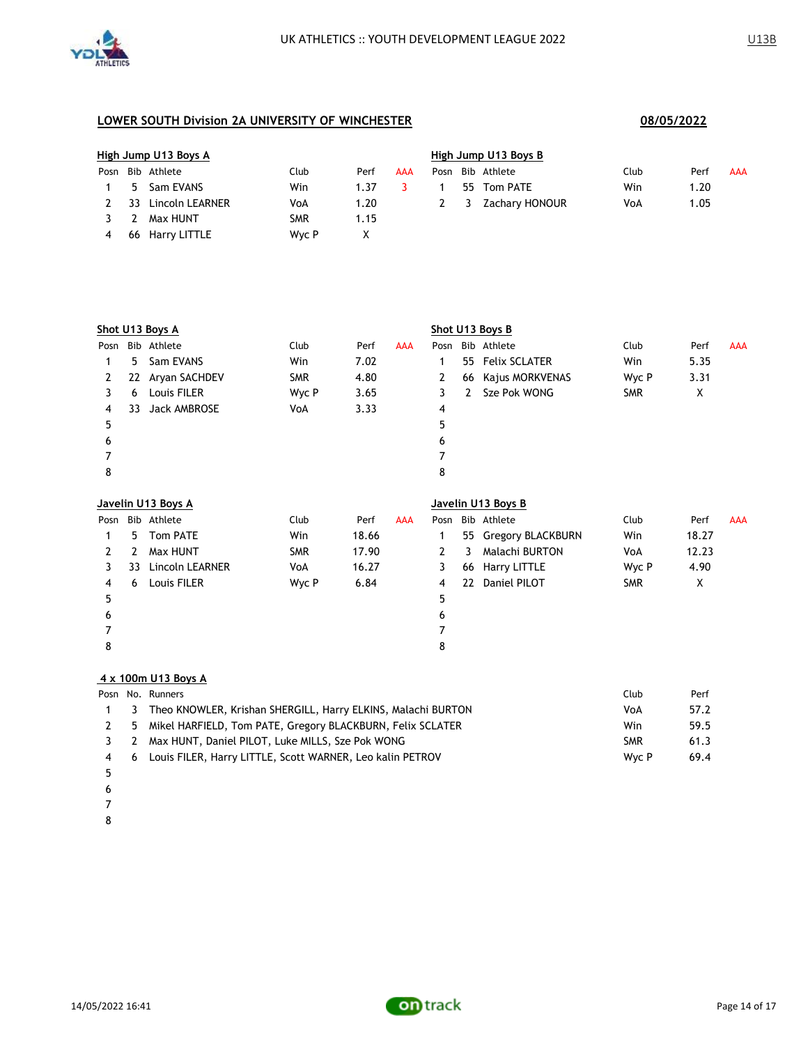

| High Jump U13 Boys A |                  |            |      |     | High Jump U13 Boys B |     |                |      |      |            |  |  |
|----------------------|------------------|------------|------|-----|----------------------|-----|----------------|------|------|------------|--|--|
|                      | Posn Bib Athlete | Club       | Perf | AAA | Posn                 |     | Bib Athlete    | Club | Perf | <b>AAA</b> |  |  |
|                      | 5 Sam EVANS      | Win        | 1.37 |     |                      |     | 55 Tom PATE    | Win  | 1.20 |            |  |  |
| 33                   | Lincoln LEARNER  | VoA        | 1.20 |     |                      | - 3 | Zachary HONOUR | VoA  | 1.05 |            |  |  |
| <sup>2</sup>         | Max HUNT         | <b>SMR</b> | 1.15 |     |                      |     |                |      |      |            |  |  |
|                      | 66 Harry LITTLE  | Wyc P      |      |     |                      |     |                |      |      |            |  |  |

|      | Shot U13 Boys A |                     |            |       |            |              |    | Shot U13 Boys B      |            |       |            |
|------|-----------------|---------------------|------------|-------|------------|--------------|----|----------------------|------------|-------|------------|
| Posn |                 | Bib Athlete         | Club       | Perf  | <b>AAA</b> | Posn         |    | Bib Athlete          | Club       | Perf  | <b>AAA</b> |
| 1    | 5               | Sam EVANS           | Win        | 7.02  |            | 1            | 55 | <b>Felix SCLATER</b> | Win        | 5.35  |            |
| 2    | 22              | Aryan SACHDEV       | <b>SMR</b> | 4.80  |            | 2            | 66 | Kajus MORKVENAS      | Wyc P      | 3.31  |            |
| 3    | 6               | Louis FILER         | Wyc P      | 3.65  |            | 3            | 2  | Sze Pok WONG         | <b>SMR</b> | Χ     |            |
| 4    | 33              | <b>Jack AMBROSE</b> | VoA        | 3.33  |            | 4            |    |                      |            |       |            |
| 5    |                 |                     |            |       |            | 5            |    |                      |            |       |            |
| 6    |                 |                     |            |       |            | 6            |    |                      |            |       |            |
| 7    |                 |                     |            |       |            | 7            |    |                      |            |       |            |
| 8    |                 |                     |            |       |            | 8            |    |                      |            |       |            |
|      |                 | Javelin U13 Boys A  |            |       |            |              |    | Javelin U13 Boys B   |            |       |            |
| Posn |                 | Bib Athlete         | Club       | Perf  | <b>AAA</b> | Posn         |    | Bib Athlete          | Club       | Perf  | <b>AAA</b> |
| 1    | 5               | <b>Tom PATE</b>     | Win        | 18.66 |            | 1            |    | 55 Gregory BLACKBURN | Win        | 18.27 |            |
| 2    | 2               | Max HUNT            | <b>SMR</b> | 17.90 |            | $\mathbf{2}$ | 3  | Malachi BURTON       | VoA        | 12.23 |            |
| 3    | 33              | Lincoln LEARNER     | VoA        | 16.27 |            | 3            | 66 | <b>Harry LITTLE</b>  | Wyc P      | 4.90  |            |
|      |                 |                     |            |       |            |              |    |                      |            |       |            |
| 4    | 6               | Louis FILER         | Wyc P      | 6.84  |            | 4            | 22 | Daniel PILOT         | <b>SMR</b> | X     |            |
| 5    |                 |                     |            |       |            | 5            |    |                      |            |       |            |
| 6    |                 |                     |            |       |            | 6            |    |                      |            |       |            |
| 7    |                 |                     |            |       |            | 7            |    |                      |            |       |            |
| 8    |                 |                     |            |       |            | 8            |    |                      |            |       |            |

### **4 x 100m U13 Boys A**

|     |   | Posn No. Runners                                               | Club       | Perf |
|-----|---|----------------------------------------------------------------|------------|------|
|     | 3 | Theo KNOWLER, Krishan SHERGILL, Harry ELKINS, Malachi BURTON   | VoA        | 57.2 |
|     |   | 2 5 Mikel HARFIELD, Tom PATE, Gregory BLACKBURN, Felix SCLATER | Win        | 59.5 |
|     |   | 3 2 Max HUNT, Daniel PILOT, Luke MILLS, Sze Pok WONG           | <b>SMR</b> | 61.3 |
| 4 6 |   | Louis FILER, Harry LITTLE, Scott WARNER, Leo kalin PETROV      | Wyc P      | 69.4 |
|     |   |                                                                |            |      |

- 
- 
- 
- 

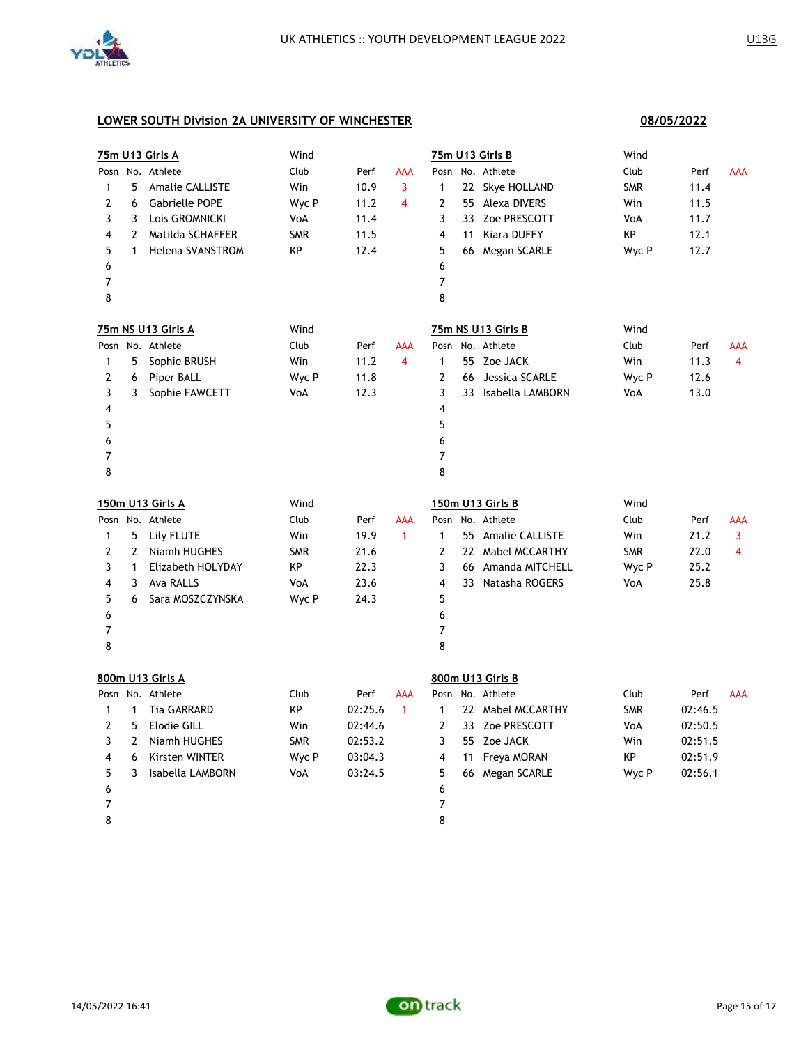

| 75m U13 Girls A |                | Wind                    |            |         |                |                | 75m U13 Girls B | Wind                |            |         |                |
|-----------------|----------------|-------------------------|------------|---------|----------------|----------------|-----------------|---------------------|------------|---------|----------------|
|                 |                | Posn No. Athlete        | Club       | Perf    | <b>AAA</b>     | Posn           |                 | No. Athlete         | Club       | Perf    | AAA            |
| $\mathbf{1}$    | 5              | <b>Amalie CALLISTE</b>  | Win        | 10.9    | 3              | $\mathbf{1}$   |                 | 22 Skye HOLLAND     | <b>SMR</b> | 11.4    |                |
| 2               | 6              | Gabrielle POPE          | Wyc P      | 11.2    | 4              | 2              |                 | 55 Alexa DIVERS     | Win        | 11.5    |                |
| 3               | 3              | Lois GROMNICKI          | VoA        | 11.4    |                | 3              |                 | 33 Zoe PRESCOTT     | VoA        | 11.7    |                |
| 4               | 2              | Matilda SCHAFFER        | <b>SMR</b> | 11.5    |                | 4              |                 | 11 Kiara DUFFY      | KP         | 12.1    |                |
| 5               | $\mathbf{1}$   | Helena SVANSTROM        | KP         | 12.4    |                | 5              |                 | 66 Megan SCARLE     | Wyc P      | 12.7    |                |
| 6               |                |                         |            |         |                | 6              |                 |                     |            |         |                |
| $\overline{7}$  |                |                         |            |         |                | $\overline{7}$ |                 |                     |            |         |                |
| 8               |                |                         |            |         |                | 8              |                 |                     |            |         |                |
|                 |                | 75m NS U13 Girls A      | Wind       |         |                |                |                 | 75m NS U13 Girls B  | Wind       |         |                |
|                 |                | Posn No. Athlete        | Club       | Perf    | <b>AAA</b>     |                |                 | Posn No. Athlete    | Club       | Perf    | AAA            |
| $\mathbf{1}$    | 5              | Sophie BRUSH            | Win        | 11.2    | $\overline{4}$ | $\mathbf{1}$   |                 | 55 Zoe JACK         | Win        | 11.3    | $\overline{4}$ |
| 2               | 6              | Piper BALL              | Wyc P      | 11.8    |                | $\mathbf{2}$   | 66              | Jessica SCARLE      | Wyc P      | 12.6    |                |
| 3               | 3              | Sophie FAWCETT          | VoA        | 12.3    |                | 3              |                 | 33 Isabella LAMBORN | VoA        | 13.0    |                |
| 4               |                |                         |            |         |                | 4              |                 |                     |            |         |                |
| 5               |                |                         |            |         |                | 5              |                 |                     |            |         |                |
| 6               |                |                         |            |         |                | 6              |                 |                     |            |         |                |
| 7               |                |                         |            |         |                | 7              |                 |                     |            |         |                |
| 8               |                |                         |            |         |                | 8              |                 |                     |            |         |                |
|                 |                | <u>150m U13 Girls A</u> | Wind       |         |                |                |                 | 150m U13 Girls B    | Wind       |         |                |
|                 |                | Posn No. Athlete        | Club       | Perf    | <b>AAA</b>     |                |                 | Posn No. Athlete    | Club       | Perf    | AAA            |
| $\mathbf{1}$    | 5              | Lily FLUTE              | Win        | 19.9    | $\mathbf{1}$   | $\mathbf{1}$   |                 | 55 Amalie CALLISTE  | Win        | 21.2    | 3              |
| 2               | 2              | Niamh HUGHES            | <b>SMR</b> | 21.6    |                | $\mathbf{2}$   |                 | 22 Mabel MCCARTHY   | <b>SMR</b> | 22.0    | 4              |
| 3               | $\mathbf{1}$   | Elizabeth HOLYDAY       | KP         | 22.3    |                | 3              |                 | 66 Amanda MITCHELL  | Wyc P      | 25.2    |                |
| 4               | 3              | <b>Ava RALLS</b>        | VoA        | 23.6    |                | 4              |                 | 33 Natasha ROGERS   | VoA        | 25.8    |                |
| 5               | 6              | Sara MOSZCZYNSKA        | Wyc P      | 24.3    |                | 5              |                 |                     |            |         |                |
| 6               |                |                         |            |         |                | 6              |                 |                     |            |         |                |
| 7               |                |                         |            |         |                | 7              |                 |                     |            |         |                |
| 8               |                |                         |            |         |                | 8              |                 |                     |            |         |                |
|                 |                | 800m U13 Girls A        |            |         |                |                |                 | 800m U13 Girls B    |            |         |                |
|                 |                | Posn No. Athlete        | Club       | Perf    | <b>AAA</b>     |                |                 | Posn No. Athlete    | Club       | Perf    | <b>AAA</b>     |
| $\mathbf{1}$    | $\mathbf{1}$   | <b>Tia GARRARD</b>      | КP         | 02:25.6 | $\mathbf{1}$   | $\mathbf{1}$   |                 | 22 Mabel MCCARTHY   | <b>SMR</b> | 02:46.5 |                |
| 2               | 5              | Elodie GILL             | Win        | 02:44.6 |                | $\overline{2}$ |                 | 33 Zoe PRESCOTT     | VoA        | 02:50.5 |                |
| 3               | $\overline{2}$ | Niamh HUGHES            | <b>SMR</b> | 02:53.2 |                | 3              |                 | 55 Zoe JACK         | Win        | 02:51.5 |                |
| 4               | 6              | Kirsten WINTER          | Wyc P      | 03:04.3 |                | $\overline{4}$ |                 | 11 Freya MORAN      | КP         | 02:51.9 |                |
| 5               | 3              | Isabella LAMBORN        | VoA        | 03:24.5 |                | 5              |                 | 66 Megan SCARLE     | Wyc P      | 02:56.1 |                |
| 6               |                |                         |            |         |                | 6              |                 |                     |            |         |                |
| 7               |                |                         |            |         |                | 7              |                 |                     |            |         |                |
| 8               |                |                         |            |         |                | 8              |                 |                     |            |         |                |

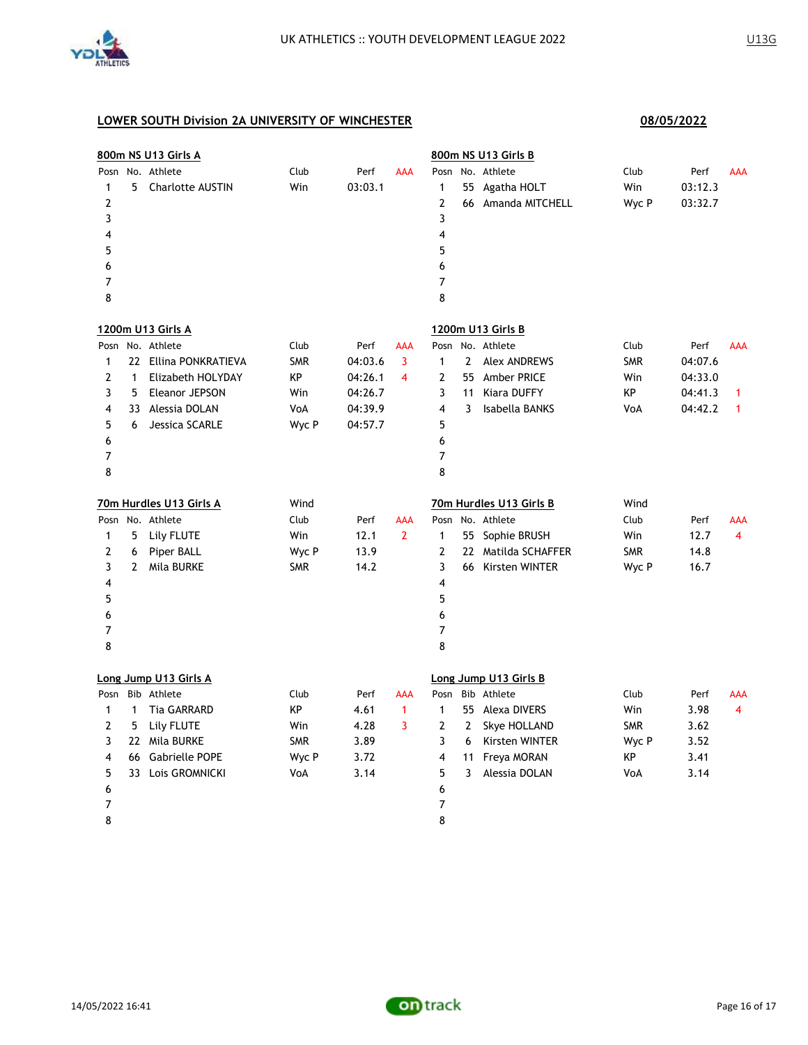

|                                                      |              | 800m NS U13 Girls A                    |             |                 |                |                                                                   |              | 800m NS U13 Girls B                                 |                      |                            |            |
|------------------------------------------------------|--------------|----------------------------------------|-------------|-----------------|----------------|-------------------------------------------------------------------|--------------|-----------------------------------------------------|----------------------|----------------------------|------------|
| Posn<br>1<br>$\overline{2}$<br>3<br>4<br>5<br>6<br>7 | 5            | No. Athlete<br><b>Charlotte AUSTIN</b> | Club<br>Win | Perf<br>03:03.1 | <b>AAA</b>     | Posn<br>1<br>$\overline{2}$<br>3<br>4<br>5<br>6<br>$\overline{7}$ |              | No. Athlete<br>55 Agatha HOLT<br>66 Amanda MITCHELL | Club<br>Win<br>Wyc P | Perf<br>03:12.3<br>03:32.7 | AAA        |
| 8                                                    |              |                                        |             |                 |                | 8                                                                 |              |                                                     |                      |                            |            |
|                                                      |              | 1200m U13 Girls A                      |             |                 |                |                                                                   |              | 1200m U13 Girls B                                   |                      |                            |            |
| Posn                                                 |              | No. Athlete                            | Club        | Perf            | <b>AAA</b>     | Posn                                                              |              | No. Athlete                                         | Club                 | Perf                       | AAA        |
| 1                                                    |              | 22 Ellina PONKRATIEVA                  | <b>SMR</b>  | 04:03.6         | 3              | $\mathbf{1}$                                                      | $\mathbf{2}$ | <b>Alex ANDREWS</b>                                 | <b>SMR</b>           | 04:07.6                    |            |
| 2                                                    | $\mathbf{1}$ | Elizabeth HOLYDAY                      | КP          | 04:26.1         | 4              | 2                                                                 |              | 55 Amber PRICE                                      | Win                  | 04:33.0                    |            |
| 3                                                    | 5            | Eleanor JEPSON                         | Win         | 04:26.7         |                | 3                                                                 | 11           | <b>Kiara DUFFY</b>                                  | КP                   | 04:41.3                    | 1          |
| 4                                                    |              | 33 Alessia DOLAN                       | VoA         | 04:39.9         |                | $\overline{\mathbf{4}}$                                           | 3            | Isabella BANKS                                      | VoA                  | 04:42.2                    | 1          |
| 5                                                    | 6            | Jessica SCARLE                         | Wyc P       | 04:57.7         |                | 5                                                                 |              |                                                     |                      |                            |            |
| 6                                                    |              |                                        |             |                 |                | 6                                                                 |              |                                                     |                      |                            |            |
| 7                                                    |              |                                        |             |                 |                | $\overline{7}$                                                    |              |                                                     |                      |                            |            |
| 8                                                    |              |                                        |             |                 |                | 8                                                                 |              |                                                     |                      |                            |            |
|                                                      |              | 70m Hurdles U13 Girls A                | Wind        |                 |                |                                                                   |              | 70m Hurdles U13 Girls B                             | Wind                 |                            |            |
|                                                      |              |                                        |             |                 |                |                                                                   |              |                                                     |                      |                            |            |
| Posn                                                 |              | No. Athlete                            | Club        | Perf            | <b>AAA</b>     |                                                                   |              | Posn No. Athlete                                    | Club                 | Perf                       | <b>AAA</b> |
| $\mathbf{1}$                                         | 5            |                                        | Win         | 12.1            | $\overline{2}$ | $\mathbf{1}$                                                      |              |                                                     |                      | 12.7                       | 4          |
| $\overline{2}$                                       | 6            | Lily FLUTE                             |             | 13.9            |                | $\mathbf{2}$                                                      |              | 55 Sophie BRUSH                                     | Win<br><b>SMR</b>    | 14.8                       |            |
|                                                      | 2            | Piper BALL                             | Wyc P       | 14.2            |                | 3                                                                 |              | 22 Matilda SCHAFFER                                 |                      | 16.7                       |            |
| 3<br>4                                               |              | Mila BURKE                             | <b>SMR</b>  |                 |                | 4                                                                 |              | 66 Kirsten WINTER                                   | Wyc P                |                            |            |
| 5                                                    |              |                                        |             |                 |                | 5                                                                 |              |                                                     |                      |                            |            |
| 6                                                    |              |                                        |             |                 |                | 6                                                                 |              |                                                     |                      |                            |            |
| $\overline{7}$                                       |              |                                        |             |                 |                | $\overline{7}$                                                    |              |                                                     |                      |                            |            |
| 8                                                    |              |                                        |             |                 |                | 8                                                                 |              |                                                     |                      |                            |            |
|                                                      |              | Long Jump U13 Girls A                  |             |                 |                |                                                                   |              | Long Jump U13 Girls B                               |                      |                            |            |
| Posn                                                 |              | Bib Athlete                            | Club        | Perf            | AAA            | Posn                                                              |              | Bib Athlete                                         | Club                 | Perf                       | <b>AAA</b> |
| 1                                                    | $\mathbf{1}$ | <b>Tia GARRARD</b>                     | ΚP          | 4.61            | $\mathbf{1}$   | $\mathbf{1}$                                                      |              | 55 Alexa DIVERS                                     | Win                  | 3.98                       | 4          |
| $\mathbf{Z}$                                         | 5            | Lily FLUTE                             | Win         | 4.28            | 3              | 2                                                                 | $\mathbf{2}$ | Skye HOLLAND                                        | <b>SMR</b>           | 3.62                       |            |
| 3                                                    |              | 22 Mila BURKE                          | <b>SMR</b>  | 3.89            |                | 3                                                                 | 6            | Kirsten WINTER                                      | Wyc P                | 3.52                       |            |
| 4                                                    |              | 66 Gabrielle POPE                      | Wyc P       | 3.72            |                | 4                                                                 | 11           | Freya MORAN                                         | KP                   | 3.41                       |            |
| 5                                                    |              | 33 Lois GROMNICKI                      | VoA         | 3.14            |                | 5                                                                 | 3            | Alessia DOLAN                                       | VoA                  | 3.14                       |            |
| 6                                                    |              |                                        |             |                 |                | 6                                                                 |              |                                                     |                      |                            |            |
| 7                                                    |              |                                        |             |                 |                | 7                                                                 |              |                                                     |                      |                            |            |